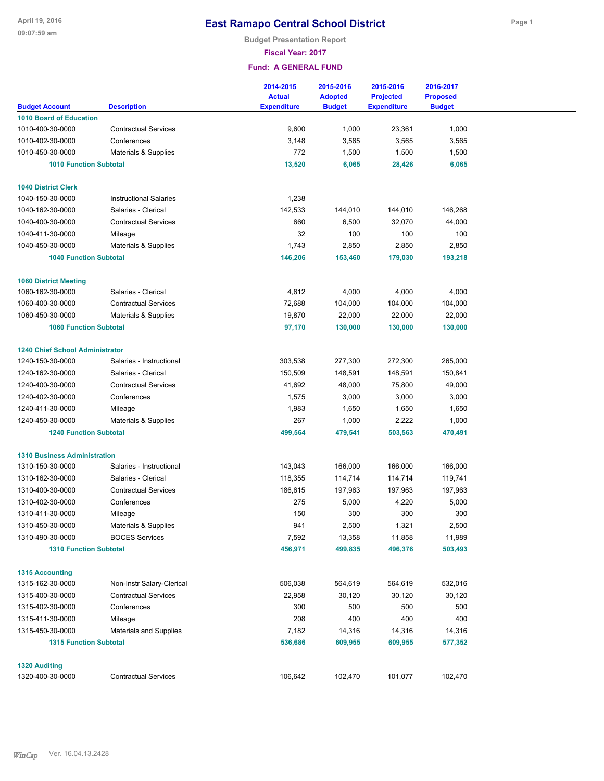**Budget Presentation Report**

**Fiscal Year: 2017**

|                                        |                               | 2014-2015<br><b>Actual</b> | 2015-2016<br><b>Adopted</b> | 2015-2016<br><b>Projected</b> | 2016-2017<br><b>Proposed</b> |  |
|----------------------------------------|-------------------------------|----------------------------|-----------------------------|-------------------------------|------------------------------|--|
| <b>Budget Account</b>                  | <b>Description</b>            | <b>Expenditure</b>         | <b>Budget</b>               | <b>Expenditure</b>            | <b>Budget</b>                |  |
| <b>1010 Board of Education</b>         | <b>Contractual Services</b>   | 9,600                      |                             |                               | 1,000                        |  |
| 1010-400-30-0000<br>1010-402-30-0000   | Conferences                   |                            | 1,000                       | 23,361                        |                              |  |
| 1010-450-30-0000                       |                               | 3,148                      | 3,565                       | 3,565                         | 3,565                        |  |
|                                        | Materials & Supplies          | 772                        | 1,500                       | 1,500                         | 1,500                        |  |
| <b>1010 Function Subtotal</b>          |                               | 13,520                     | 6,065                       | 28,426                        | 6,065                        |  |
| <b>1040 District Clerk</b>             |                               |                            |                             |                               |                              |  |
| 1040-150-30-0000                       | <b>Instructional Salaries</b> | 1,238                      |                             |                               |                              |  |
| 1040-162-30-0000                       | Salaries - Clerical           | 142,533                    | 144,010                     | 144,010                       | 146,268                      |  |
| 1040-400-30-0000                       | <b>Contractual Services</b>   | 660                        | 6,500                       | 32,070                        | 44,000                       |  |
| 1040-411-30-0000                       | Mileage                       | 32                         | 100                         | 100                           | 100                          |  |
| 1040-450-30-0000                       | Materials & Supplies          | 1,743                      | 2,850                       | 2,850                         | 2,850                        |  |
| <b>1040 Function Subtotal</b>          |                               | 146,206                    | 153,460                     | 179,030                       | 193,218                      |  |
|                                        |                               |                            |                             |                               |                              |  |
| <b>1060 District Meeting</b>           |                               |                            |                             |                               |                              |  |
| 1060-162-30-0000                       | Salaries - Clerical           | 4,612                      | 4,000                       | 4,000                         | 4,000                        |  |
| 1060-400-30-0000                       | <b>Contractual Services</b>   | 72,688                     | 104,000                     | 104,000                       | 104,000                      |  |
| 1060-450-30-0000                       | Materials & Supplies          | 19,870                     | 22,000                      | 22,000                        | 22,000                       |  |
| <b>1060 Function Subtotal</b>          |                               | 97,170                     | 130,000                     | 130,000                       | 130,000                      |  |
| <b>1240 Chief School Administrator</b> |                               |                            |                             |                               |                              |  |
| 1240-150-30-0000                       | Salaries - Instructional      | 303,538                    | 277,300                     | 272,300                       | 265,000                      |  |
| 1240-162-30-0000                       | Salaries - Clerical           | 150,509                    | 148,591                     | 148,591                       | 150,841                      |  |
| 1240-400-30-0000                       | <b>Contractual Services</b>   | 41,692                     | 48,000                      | 75,800                        | 49,000                       |  |
| 1240-402-30-0000                       | Conferences                   | 1,575                      | 3,000                       | 3,000                         | 3,000                        |  |
| 1240-411-30-0000                       | Mileage                       | 1,983                      | 1,650                       | 1,650                         | 1,650                        |  |
| 1240-450-30-0000                       | Materials & Supplies          | 267                        | 1,000                       | 2,222                         | 1,000                        |  |
| <b>1240 Function Subtotal</b>          |                               | 499,564                    | 479,541                     | 503,563                       | 470,491                      |  |
|                                        |                               |                            |                             |                               |                              |  |
| <b>1310 Business Administration</b>    |                               |                            |                             |                               |                              |  |
| 1310-150-30-0000                       | Salaries - Instructional      | 143,043                    | 166,000                     | 166,000                       | 166,000                      |  |
| 1310-162-30-0000                       | Salaries - Clerical           | 118,355                    | 114,714                     | 114,714                       | 119,741                      |  |
| 1310-400-30-0000                       | <b>Contractual Services</b>   | 186,615                    | 197,963                     | 197,963                       | 197,963                      |  |
| 1310-402-30-0000                       | Conferences                   | 275                        | 5,000                       | 4,220                         | 5,000                        |  |
| 1310-411-30-0000                       | Mileage                       | 150                        | 300                         | 300                           | 300                          |  |
| 1310-450-30-0000                       | Materials & Supplies          | 941                        | 2,500                       | 1,321                         | 2,500                        |  |
| 1310-490-30-0000                       | <b>BOCES Services</b>         | 7,592                      | 13,358                      | 11,858                        | 11,989                       |  |
| <b>1310 Function Subtotal</b>          |                               | 456,971                    | 499,835                     | 496,376                       | 503,493                      |  |
| <b>1315 Accounting</b>                 |                               |                            |                             |                               |                              |  |
| 1315-162-30-0000                       | Non-Instr Salary-Clerical     | 506,038                    | 564,619                     | 564,619                       | 532,016                      |  |
| 1315-400-30-0000                       | <b>Contractual Services</b>   | 22,958                     | 30,120                      | 30,120                        | 30,120                       |  |
| 1315-402-30-0000                       | Conferences                   | 300                        | 500                         | 500                           | 500                          |  |
| 1315-411-30-0000                       | Mileage                       | 208                        | 400                         | 400                           | 400                          |  |
| 1315-450-30-0000                       | <b>Materials and Supplies</b> | 7,182                      | 14,316                      | 14,316                        | 14,316                       |  |
| <b>1315 Function Subtotal</b>          |                               | 536,686                    | 609,955                     | 609,955                       | 577,352                      |  |
|                                        |                               |                            |                             |                               |                              |  |
| <b>1320 Auditing</b>                   |                               |                            |                             |                               |                              |  |
| 1320-400-30-0000                       | <b>Contractual Services</b>   | 106,642                    | 102,470                     | 101,077                       | 102,470                      |  |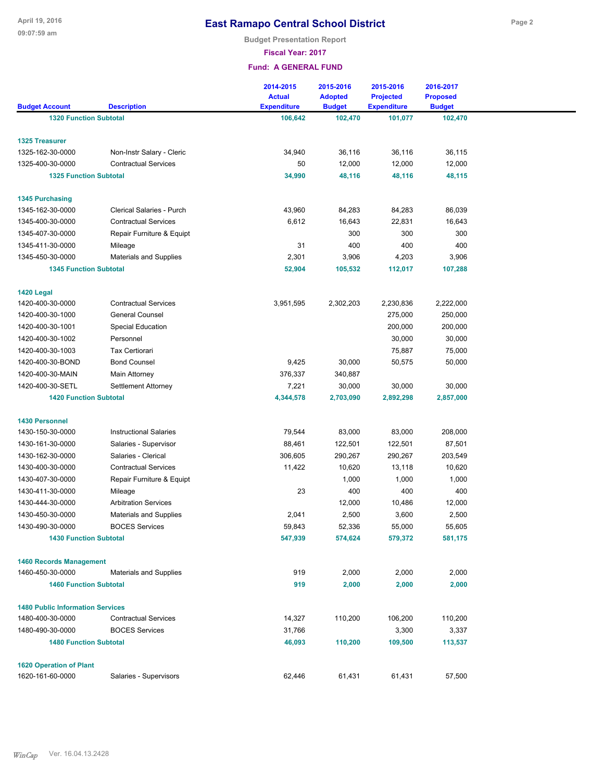**Budget Presentation Report**

**Fiscal Year: 2017**

| <b>1320 Function Subtotal</b><br>106,642<br>102,470<br>102,470<br>101,077<br>Non-Instr Salary - Cleric<br>34,940<br>36,116<br>36,116<br>36,115<br>50<br>12,000<br>12,000<br>12,000<br><b>Contractual Services</b><br><b>1325 Function Subtotal</b><br>34,990<br>48,116<br>48,116<br>48,115<br>Clerical Salaries - Purch<br>43,960<br>84,283<br>84,283<br>86,039<br><b>Contractual Services</b><br>6,612<br>16,643<br>22,831<br>16,643<br>300<br>300<br>Repair Furniture & Equipt<br>300<br>31<br>400<br>400<br>400<br>Mileage<br>3,906<br>3,906<br><b>Materials and Supplies</b><br>2,301<br>4,203<br><b>1345 Function Subtotal</b><br>52,904<br>105,532<br>107,288<br>112,017<br>1420 Legal<br><b>Contractual Services</b><br>1420-400-30-0000<br>3,951,595<br>2,302,203<br>2,230,836<br>2,222,000<br><b>General Counsel</b><br>275,000<br>1420-400-30-1000<br>250,000<br><b>Special Education</b><br>200,000<br>200,000<br>Personnel<br>30,000<br>30,000<br><b>Tax Certiorari</b><br>75,887<br>75,000<br><b>Bond Counsel</b><br>9,425<br>30,000<br>50,575<br>50,000<br>376,337<br>Main Attorney<br>340,887<br>30,000<br>Settlement Attorney<br>7,221<br>30,000<br>30,000<br>4,344,578<br>2,857,000<br><b>1420 Function Subtotal</b><br>2,703,090<br>2,892,298<br><b>1430 Personnel</b><br>83,000<br>83,000<br>208,000<br>1430-150-30-0000<br><b>Instructional Salaries</b><br>79,544<br>Salaries - Supervisor<br>122,501<br>87,501<br>1430-161-30-0000<br>88,461<br>122,501<br>Salaries - Clerical<br>306,605<br>290,267<br>203,549<br>1430-162-30-0000<br>290,267<br>10,620<br>10,620<br>1430-400-30-0000<br><b>Contractual Services</b><br>11,422<br>13,118<br>1,000<br>1430-407-30-0000<br>Repair Furniture & Equipt<br>1,000<br>1,000<br>23<br>400<br>400<br>400<br>1430-411-30-0000<br>Mileage<br><b>Arbitration Services</b><br>12,000<br>12,000<br>1430-444-30-0000<br>10,486<br>2,500<br>3,600<br>2,500<br>1430-450-30-0000<br><b>Materials and Supplies</b><br>2,041<br>52,336<br>55,605<br>1430-490-30-0000<br><b>BOCES Services</b><br>59,843<br>55,000<br><b>1430 Function Subtotal</b><br>547,939<br>574,624<br>579,372<br>581,175<br><b>1460 Records Management</b><br>2,000<br>2,000<br>Materials and Supplies<br>919<br>2,000<br><b>1460 Function Subtotal</b><br>919<br>2,000<br>2,000<br>2,000<br><b>1480 Public Information Services</b><br><b>Contractual Services</b><br>14,327<br>110,200<br>106,200<br>110,200<br>3,300<br><b>BOCES Services</b><br>31,766<br>3,337<br><b>1480 Function Subtotal</b><br>46,093<br>110,200<br>109,500<br>113,537<br><b>1620 Operation of Plant</b><br>Salaries - Supervisors<br>62,446<br>61,431<br>57,500<br>61,431 |                       |                    | 2014-2015<br><b>Actual</b> | 2015-2016<br><b>Adopted</b> | 2015-2016<br><b>Projected</b> | 2016-2017<br><b>Proposed</b> |  |
|------------------------------------------------------------------------------------------------------------------------------------------------------------------------------------------------------------------------------------------------------------------------------------------------------------------------------------------------------------------------------------------------------------------------------------------------------------------------------------------------------------------------------------------------------------------------------------------------------------------------------------------------------------------------------------------------------------------------------------------------------------------------------------------------------------------------------------------------------------------------------------------------------------------------------------------------------------------------------------------------------------------------------------------------------------------------------------------------------------------------------------------------------------------------------------------------------------------------------------------------------------------------------------------------------------------------------------------------------------------------------------------------------------------------------------------------------------------------------------------------------------------------------------------------------------------------------------------------------------------------------------------------------------------------------------------------------------------------------------------------------------------------------------------------------------------------------------------------------------------------------------------------------------------------------------------------------------------------------------------------------------------------------------------------------------------------------------------------------------------------------------------------------------------------------------------------------------------------------------------------------------------------------------------------------------------------------------------------------------------------------------------------------------------------------------------------------------------------------------------------------------------------------------------------------------------------------------------------------------------------------------------------------------------------------|-----------------------|--------------------|----------------------------|-----------------------------|-------------------------------|------------------------------|--|
|                                                                                                                                                                                                                                                                                                                                                                                                                                                                                                                                                                                                                                                                                                                                                                                                                                                                                                                                                                                                                                                                                                                                                                                                                                                                                                                                                                                                                                                                                                                                                                                                                                                                                                                                                                                                                                                                                                                                                                                                                                                                                                                                                                                                                                                                                                                                                                                                                                                                                                                                                                                                                                                                              | <b>Budget Account</b> | <b>Description</b> | <b>Expenditure</b>         | <b>Budget</b>               | <b>Expenditure</b>            | <b>Budget</b>                |  |
|                                                                                                                                                                                                                                                                                                                                                                                                                                                                                                                                                                                                                                                                                                                                                                                                                                                                                                                                                                                                                                                                                                                                                                                                                                                                                                                                                                                                                                                                                                                                                                                                                                                                                                                                                                                                                                                                                                                                                                                                                                                                                                                                                                                                                                                                                                                                                                                                                                                                                                                                                                                                                                                                              |                       |                    |                            |                             |                               |                              |  |
|                                                                                                                                                                                                                                                                                                                                                                                                                                                                                                                                                                                                                                                                                                                                                                                                                                                                                                                                                                                                                                                                                                                                                                                                                                                                                                                                                                                                                                                                                                                                                                                                                                                                                                                                                                                                                                                                                                                                                                                                                                                                                                                                                                                                                                                                                                                                                                                                                                                                                                                                                                                                                                                                              | <b>1325 Treasurer</b> |                    |                            |                             |                               |                              |  |
|                                                                                                                                                                                                                                                                                                                                                                                                                                                                                                                                                                                                                                                                                                                                                                                                                                                                                                                                                                                                                                                                                                                                                                                                                                                                                                                                                                                                                                                                                                                                                                                                                                                                                                                                                                                                                                                                                                                                                                                                                                                                                                                                                                                                                                                                                                                                                                                                                                                                                                                                                                                                                                                                              | 1325-162-30-0000      |                    |                            |                             |                               |                              |  |
|                                                                                                                                                                                                                                                                                                                                                                                                                                                                                                                                                                                                                                                                                                                                                                                                                                                                                                                                                                                                                                                                                                                                                                                                                                                                                                                                                                                                                                                                                                                                                                                                                                                                                                                                                                                                                                                                                                                                                                                                                                                                                                                                                                                                                                                                                                                                                                                                                                                                                                                                                                                                                                                                              | 1325-400-30-0000      |                    |                            |                             |                               |                              |  |
|                                                                                                                                                                                                                                                                                                                                                                                                                                                                                                                                                                                                                                                                                                                                                                                                                                                                                                                                                                                                                                                                                                                                                                                                                                                                                                                                                                                                                                                                                                                                                                                                                                                                                                                                                                                                                                                                                                                                                                                                                                                                                                                                                                                                                                                                                                                                                                                                                                                                                                                                                                                                                                                                              |                       |                    |                            |                             |                               |                              |  |
|                                                                                                                                                                                                                                                                                                                                                                                                                                                                                                                                                                                                                                                                                                                                                                                                                                                                                                                                                                                                                                                                                                                                                                                                                                                                                                                                                                                                                                                                                                                                                                                                                                                                                                                                                                                                                                                                                                                                                                                                                                                                                                                                                                                                                                                                                                                                                                                                                                                                                                                                                                                                                                                                              | 1345 Purchasing       |                    |                            |                             |                               |                              |  |
|                                                                                                                                                                                                                                                                                                                                                                                                                                                                                                                                                                                                                                                                                                                                                                                                                                                                                                                                                                                                                                                                                                                                                                                                                                                                                                                                                                                                                                                                                                                                                                                                                                                                                                                                                                                                                                                                                                                                                                                                                                                                                                                                                                                                                                                                                                                                                                                                                                                                                                                                                                                                                                                                              | 1345-162-30-0000      |                    |                            |                             |                               |                              |  |
|                                                                                                                                                                                                                                                                                                                                                                                                                                                                                                                                                                                                                                                                                                                                                                                                                                                                                                                                                                                                                                                                                                                                                                                                                                                                                                                                                                                                                                                                                                                                                                                                                                                                                                                                                                                                                                                                                                                                                                                                                                                                                                                                                                                                                                                                                                                                                                                                                                                                                                                                                                                                                                                                              | 1345-400-30-0000      |                    |                            |                             |                               |                              |  |
|                                                                                                                                                                                                                                                                                                                                                                                                                                                                                                                                                                                                                                                                                                                                                                                                                                                                                                                                                                                                                                                                                                                                                                                                                                                                                                                                                                                                                                                                                                                                                                                                                                                                                                                                                                                                                                                                                                                                                                                                                                                                                                                                                                                                                                                                                                                                                                                                                                                                                                                                                                                                                                                                              | 1345-407-30-0000      |                    |                            |                             |                               |                              |  |
|                                                                                                                                                                                                                                                                                                                                                                                                                                                                                                                                                                                                                                                                                                                                                                                                                                                                                                                                                                                                                                                                                                                                                                                                                                                                                                                                                                                                                                                                                                                                                                                                                                                                                                                                                                                                                                                                                                                                                                                                                                                                                                                                                                                                                                                                                                                                                                                                                                                                                                                                                                                                                                                                              | 1345-411-30-0000      |                    |                            |                             |                               |                              |  |
|                                                                                                                                                                                                                                                                                                                                                                                                                                                                                                                                                                                                                                                                                                                                                                                                                                                                                                                                                                                                                                                                                                                                                                                                                                                                                                                                                                                                                                                                                                                                                                                                                                                                                                                                                                                                                                                                                                                                                                                                                                                                                                                                                                                                                                                                                                                                                                                                                                                                                                                                                                                                                                                                              | 1345-450-30-0000      |                    |                            |                             |                               |                              |  |
|                                                                                                                                                                                                                                                                                                                                                                                                                                                                                                                                                                                                                                                                                                                                                                                                                                                                                                                                                                                                                                                                                                                                                                                                                                                                                                                                                                                                                                                                                                                                                                                                                                                                                                                                                                                                                                                                                                                                                                                                                                                                                                                                                                                                                                                                                                                                                                                                                                                                                                                                                                                                                                                                              |                       |                    |                            |                             |                               |                              |  |
|                                                                                                                                                                                                                                                                                                                                                                                                                                                                                                                                                                                                                                                                                                                                                                                                                                                                                                                                                                                                                                                                                                                                                                                                                                                                                                                                                                                                                                                                                                                                                                                                                                                                                                                                                                                                                                                                                                                                                                                                                                                                                                                                                                                                                                                                                                                                                                                                                                                                                                                                                                                                                                                                              |                       |                    |                            |                             |                               |                              |  |
|                                                                                                                                                                                                                                                                                                                                                                                                                                                                                                                                                                                                                                                                                                                                                                                                                                                                                                                                                                                                                                                                                                                                                                                                                                                                                                                                                                                                                                                                                                                                                                                                                                                                                                                                                                                                                                                                                                                                                                                                                                                                                                                                                                                                                                                                                                                                                                                                                                                                                                                                                                                                                                                                              |                       |                    |                            |                             |                               |                              |  |
|                                                                                                                                                                                                                                                                                                                                                                                                                                                                                                                                                                                                                                                                                                                                                                                                                                                                                                                                                                                                                                                                                                                                                                                                                                                                                                                                                                                                                                                                                                                                                                                                                                                                                                                                                                                                                                                                                                                                                                                                                                                                                                                                                                                                                                                                                                                                                                                                                                                                                                                                                                                                                                                                              |                       |                    |                            |                             |                               |                              |  |
|                                                                                                                                                                                                                                                                                                                                                                                                                                                                                                                                                                                                                                                                                                                                                                                                                                                                                                                                                                                                                                                                                                                                                                                                                                                                                                                                                                                                                                                                                                                                                                                                                                                                                                                                                                                                                                                                                                                                                                                                                                                                                                                                                                                                                                                                                                                                                                                                                                                                                                                                                                                                                                                                              | 1420-400-30-1001      |                    |                            |                             |                               |                              |  |
|                                                                                                                                                                                                                                                                                                                                                                                                                                                                                                                                                                                                                                                                                                                                                                                                                                                                                                                                                                                                                                                                                                                                                                                                                                                                                                                                                                                                                                                                                                                                                                                                                                                                                                                                                                                                                                                                                                                                                                                                                                                                                                                                                                                                                                                                                                                                                                                                                                                                                                                                                                                                                                                                              | 1420-400-30-1002      |                    |                            |                             |                               |                              |  |
|                                                                                                                                                                                                                                                                                                                                                                                                                                                                                                                                                                                                                                                                                                                                                                                                                                                                                                                                                                                                                                                                                                                                                                                                                                                                                                                                                                                                                                                                                                                                                                                                                                                                                                                                                                                                                                                                                                                                                                                                                                                                                                                                                                                                                                                                                                                                                                                                                                                                                                                                                                                                                                                                              | 1420-400-30-1003      |                    |                            |                             |                               |                              |  |
|                                                                                                                                                                                                                                                                                                                                                                                                                                                                                                                                                                                                                                                                                                                                                                                                                                                                                                                                                                                                                                                                                                                                                                                                                                                                                                                                                                                                                                                                                                                                                                                                                                                                                                                                                                                                                                                                                                                                                                                                                                                                                                                                                                                                                                                                                                                                                                                                                                                                                                                                                                                                                                                                              | 1420-400-30-BOND      |                    |                            |                             |                               |                              |  |
|                                                                                                                                                                                                                                                                                                                                                                                                                                                                                                                                                                                                                                                                                                                                                                                                                                                                                                                                                                                                                                                                                                                                                                                                                                                                                                                                                                                                                                                                                                                                                                                                                                                                                                                                                                                                                                                                                                                                                                                                                                                                                                                                                                                                                                                                                                                                                                                                                                                                                                                                                                                                                                                                              | 1420-400-30-MAIN      |                    |                            |                             |                               |                              |  |
|                                                                                                                                                                                                                                                                                                                                                                                                                                                                                                                                                                                                                                                                                                                                                                                                                                                                                                                                                                                                                                                                                                                                                                                                                                                                                                                                                                                                                                                                                                                                                                                                                                                                                                                                                                                                                                                                                                                                                                                                                                                                                                                                                                                                                                                                                                                                                                                                                                                                                                                                                                                                                                                                              | 1420-400-30-SETL      |                    |                            |                             |                               |                              |  |
|                                                                                                                                                                                                                                                                                                                                                                                                                                                                                                                                                                                                                                                                                                                                                                                                                                                                                                                                                                                                                                                                                                                                                                                                                                                                                                                                                                                                                                                                                                                                                                                                                                                                                                                                                                                                                                                                                                                                                                                                                                                                                                                                                                                                                                                                                                                                                                                                                                                                                                                                                                                                                                                                              |                       |                    |                            |                             |                               |                              |  |
|                                                                                                                                                                                                                                                                                                                                                                                                                                                                                                                                                                                                                                                                                                                                                                                                                                                                                                                                                                                                                                                                                                                                                                                                                                                                                                                                                                                                                                                                                                                                                                                                                                                                                                                                                                                                                                                                                                                                                                                                                                                                                                                                                                                                                                                                                                                                                                                                                                                                                                                                                                                                                                                                              |                       |                    |                            |                             |                               |                              |  |
|                                                                                                                                                                                                                                                                                                                                                                                                                                                                                                                                                                                                                                                                                                                                                                                                                                                                                                                                                                                                                                                                                                                                                                                                                                                                                                                                                                                                                                                                                                                                                                                                                                                                                                                                                                                                                                                                                                                                                                                                                                                                                                                                                                                                                                                                                                                                                                                                                                                                                                                                                                                                                                                                              |                       |                    |                            |                             |                               |                              |  |
|                                                                                                                                                                                                                                                                                                                                                                                                                                                                                                                                                                                                                                                                                                                                                                                                                                                                                                                                                                                                                                                                                                                                                                                                                                                                                                                                                                                                                                                                                                                                                                                                                                                                                                                                                                                                                                                                                                                                                                                                                                                                                                                                                                                                                                                                                                                                                                                                                                                                                                                                                                                                                                                                              |                       |                    |                            |                             |                               |                              |  |
|                                                                                                                                                                                                                                                                                                                                                                                                                                                                                                                                                                                                                                                                                                                                                                                                                                                                                                                                                                                                                                                                                                                                                                                                                                                                                                                                                                                                                                                                                                                                                                                                                                                                                                                                                                                                                                                                                                                                                                                                                                                                                                                                                                                                                                                                                                                                                                                                                                                                                                                                                                                                                                                                              |                       |                    |                            |                             |                               |                              |  |
|                                                                                                                                                                                                                                                                                                                                                                                                                                                                                                                                                                                                                                                                                                                                                                                                                                                                                                                                                                                                                                                                                                                                                                                                                                                                                                                                                                                                                                                                                                                                                                                                                                                                                                                                                                                                                                                                                                                                                                                                                                                                                                                                                                                                                                                                                                                                                                                                                                                                                                                                                                                                                                                                              |                       |                    |                            |                             |                               |                              |  |
|                                                                                                                                                                                                                                                                                                                                                                                                                                                                                                                                                                                                                                                                                                                                                                                                                                                                                                                                                                                                                                                                                                                                                                                                                                                                                                                                                                                                                                                                                                                                                                                                                                                                                                                                                                                                                                                                                                                                                                                                                                                                                                                                                                                                                                                                                                                                                                                                                                                                                                                                                                                                                                                                              |                       |                    |                            |                             |                               |                              |  |
|                                                                                                                                                                                                                                                                                                                                                                                                                                                                                                                                                                                                                                                                                                                                                                                                                                                                                                                                                                                                                                                                                                                                                                                                                                                                                                                                                                                                                                                                                                                                                                                                                                                                                                                                                                                                                                                                                                                                                                                                                                                                                                                                                                                                                                                                                                                                                                                                                                                                                                                                                                                                                                                                              |                       |                    |                            |                             |                               |                              |  |
|                                                                                                                                                                                                                                                                                                                                                                                                                                                                                                                                                                                                                                                                                                                                                                                                                                                                                                                                                                                                                                                                                                                                                                                                                                                                                                                                                                                                                                                                                                                                                                                                                                                                                                                                                                                                                                                                                                                                                                                                                                                                                                                                                                                                                                                                                                                                                                                                                                                                                                                                                                                                                                                                              |                       |                    |                            |                             |                               |                              |  |
|                                                                                                                                                                                                                                                                                                                                                                                                                                                                                                                                                                                                                                                                                                                                                                                                                                                                                                                                                                                                                                                                                                                                                                                                                                                                                                                                                                                                                                                                                                                                                                                                                                                                                                                                                                                                                                                                                                                                                                                                                                                                                                                                                                                                                                                                                                                                                                                                                                                                                                                                                                                                                                                                              |                       |                    |                            |                             |                               |                              |  |
|                                                                                                                                                                                                                                                                                                                                                                                                                                                                                                                                                                                                                                                                                                                                                                                                                                                                                                                                                                                                                                                                                                                                                                                                                                                                                                                                                                                                                                                                                                                                                                                                                                                                                                                                                                                                                                                                                                                                                                                                                                                                                                                                                                                                                                                                                                                                                                                                                                                                                                                                                                                                                                                                              |                       |                    |                            |                             |                               |                              |  |
|                                                                                                                                                                                                                                                                                                                                                                                                                                                                                                                                                                                                                                                                                                                                                                                                                                                                                                                                                                                                                                                                                                                                                                                                                                                                                                                                                                                                                                                                                                                                                                                                                                                                                                                                                                                                                                                                                                                                                                                                                                                                                                                                                                                                                                                                                                                                                                                                                                                                                                                                                                                                                                                                              |                       |                    |                            |                             |                               |                              |  |
|                                                                                                                                                                                                                                                                                                                                                                                                                                                                                                                                                                                                                                                                                                                                                                                                                                                                                                                                                                                                                                                                                                                                                                                                                                                                                                                                                                                                                                                                                                                                                                                                                                                                                                                                                                                                                                                                                                                                                                                                                                                                                                                                                                                                                                                                                                                                                                                                                                                                                                                                                                                                                                                                              |                       |                    |                            |                             |                               |                              |  |
|                                                                                                                                                                                                                                                                                                                                                                                                                                                                                                                                                                                                                                                                                                                                                                                                                                                                                                                                                                                                                                                                                                                                                                                                                                                                                                                                                                                                                                                                                                                                                                                                                                                                                                                                                                                                                                                                                                                                                                                                                                                                                                                                                                                                                                                                                                                                                                                                                                                                                                                                                                                                                                                                              |                       |                    |                            |                             |                               |                              |  |
|                                                                                                                                                                                                                                                                                                                                                                                                                                                                                                                                                                                                                                                                                                                                                                                                                                                                                                                                                                                                                                                                                                                                                                                                                                                                                                                                                                                                                                                                                                                                                                                                                                                                                                                                                                                                                                                                                                                                                                                                                                                                                                                                                                                                                                                                                                                                                                                                                                                                                                                                                                                                                                                                              | 1460-450-30-0000      |                    |                            |                             |                               |                              |  |
|                                                                                                                                                                                                                                                                                                                                                                                                                                                                                                                                                                                                                                                                                                                                                                                                                                                                                                                                                                                                                                                                                                                                                                                                                                                                                                                                                                                                                                                                                                                                                                                                                                                                                                                                                                                                                                                                                                                                                                                                                                                                                                                                                                                                                                                                                                                                                                                                                                                                                                                                                                                                                                                                              |                       |                    |                            |                             |                               |                              |  |
|                                                                                                                                                                                                                                                                                                                                                                                                                                                                                                                                                                                                                                                                                                                                                                                                                                                                                                                                                                                                                                                                                                                                                                                                                                                                                                                                                                                                                                                                                                                                                                                                                                                                                                                                                                                                                                                                                                                                                                                                                                                                                                                                                                                                                                                                                                                                                                                                                                                                                                                                                                                                                                                                              |                       |                    |                            |                             |                               |                              |  |
|                                                                                                                                                                                                                                                                                                                                                                                                                                                                                                                                                                                                                                                                                                                                                                                                                                                                                                                                                                                                                                                                                                                                                                                                                                                                                                                                                                                                                                                                                                                                                                                                                                                                                                                                                                                                                                                                                                                                                                                                                                                                                                                                                                                                                                                                                                                                                                                                                                                                                                                                                                                                                                                                              | 1480-400-30-0000      |                    |                            |                             |                               |                              |  |
|                                                                                                                                                                                                                                                                                                                                                                                                                                                                                                                                                                                                                                                                                                                                                                                                                                                                                                                                                                                                                                                                                                                                                                                                                                                                                                                                                                                                                                                                                                                                                                                                                                                                                                                                                                                                                                                                                                                                                                                                                                                                                                                                                                                                                                                                                                                                                                                                                                                                                                                                                                                                                                                                              | 1480-490-30-0000      |                    |                            |                             |                               |                              |  |
|                                                                                                                                                                                                                                                                                                                                                                                                                                                                                                                                                                                                                                                                                                                                                                                                                                                                                                                                                                                                                                                                                                                                                                                                                                                                                                                                                                                                                                                                                                                                                                                                                                                                                                                                                                                                                                                                                                                                                                                                                                                                                                                                                                                                                                                                                                                                                                                                                                                                                                                                                                                                                                                                              |                       |                    |                            |                             |                               |                              |  |
|                                                                                                                                                                                                                                                                                                                                                                                                                                                                                                                                                                                                                                                                                                                                                                                                                                                                                                                                                                                                                                                                                                                                                                                                                                                                                                                                                                                                                                                                                                                                                                                                                                                                                                                                                                                                                                                                                                                                                                                                                                                                                                                                                                                                                                                                                                                                                                                                                                                                                                                                                                                                                                                                              |                       |                    |                            |                             |                               |                              |  |
|                                                                                                                                                                                                                                                                                                                                                                                                                                                                                                                                                                                                                                                                                                                                                                                                                                                                                                                                                                                                                                                                                                                                                                                                                                                                                                                                                                                                                                                                                                                                                                                                                                                                                                                                                                                                                                                                                                                                                                                                                                                                                                                                                                                                                                                                                                                                                                                                                                                                                                                                                                                                                                                                              | 1620-161-60-0000      |                    |                            |                             |                               |                              |  |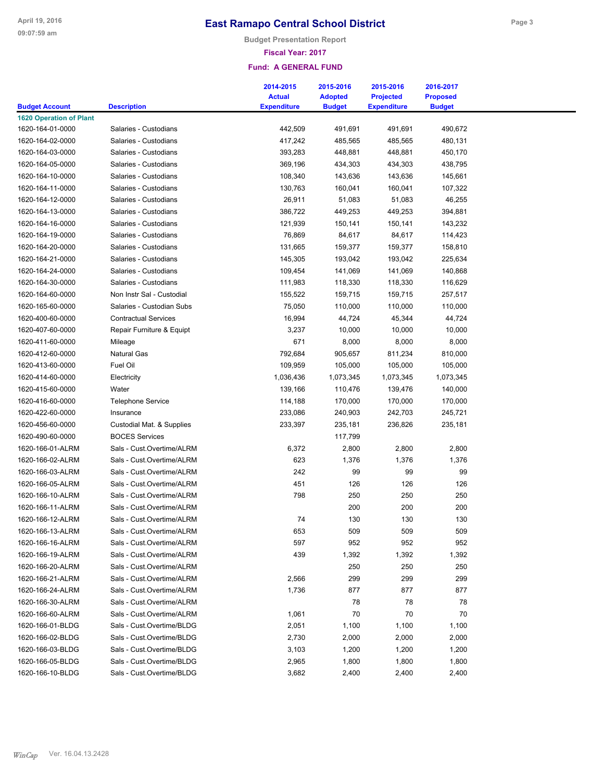**Budget Presentation Report**

#### **Fiscal Year: 2017**

|                                |                                                        | 2014-2015          | 2015-2016      | 2015-2016          | 2016-2017       |  |
|--------------------------------|--------------------------------------------------------|--------------------|----------------|--------------------|-----------------|--|
|                                |                                                        | <b>Actual</b>      | <b>Adopted</b> | <b>Projected</b>   | <b>Proposed</b> |  |
| <b>Budget Account</b>          | <b>Description</b>                                     | <b>Expenditure</b> | <b>Budget</b>  | <b>Expenditure</b> | <b>Budget</b>   |  |
| <b>1620 Operation of Plant</b> |                                                        |                    |                |                    |                 |  |
| 1620-164-01-0000               | Salaries - Custodians                                  | 442,509            | 491,691        | 491,691            | 490,672         |  |
| 1620-164-02-0000               | Salaries - Custodians                                  | 417,242            | 485,565        | 485,565            | 480,131         |  |
| 1620-164-03-0000               | Salaries - Custodians                                  | 393,283            | 448,881        | 448,881            | 450,170         |  |
| 1620-164-05-0000               | Salaries - Custodians                                  | 369,196            | 434,303        | 434,303            | 438,795         |  |
| 1620-164-10-0000               | Salaries - Custodians                                  | 108,340            | 143,636        | 143,636            | 145,661         |  |
| 1620-164-11-0000               | Salaries - Custodians                                  | 130,763            | 160,041        | 160,041            | 107,322         |  |
| 1620-164-12-0000               | Salaries - Custodians                                  | 26,911             | 51,083         | 51,083             | 46,255          |  |
| 1620-164-13-0000               | Salaries - Custodians                                  | 386,722            | 449,253        | 449,253            | 394,881         |  |
| 1620-164-16-0000               | Salaries - Custodians                                  | 121,939            | 150,141        | 150,141            | 143,232         |  |
| 1620-164-19-0000               | Salaries - Custodians                                  | 76,869             | 84,617         | 84,617             | 114,423         |  |
| 1620-164-20-0000               | Salaries - Custodians                                  | 131,665            | 159,377        | 159,377            | 158,810         |  |
| 1620-164-21-0000               | Salaries - Custodians                                  | 145,305            | 193,042        | 193,042            | 225,634         |  |
| 1620-164-24-0000               | Salaries - Custodians                                  | 109,454            | 141,069        | 141,069            | 140,868         |  |
| 1620-164-30-0000               | Salaries - Custodians                                  | 111,983            | 118,330        | 118,330            | 116,629         |  |
| 1620-164-60-0000               | Non Instr Sal - Custodial                              | 155,522            | 159,715        | 159,715            | 257,517         |  |
| 1620-165-60-0000               | Salaries - Custodian Subs                              | 75,050             | 110,000        | 110,000            | 110,000         |  |
| 1620-400-60-0000               | <b>Contractual Services</b>                            | 16,994             | 44,724         | 45,344             | 44,724          |  |
| 1620-407-60-0000               | Repair Furniture & Equipt                              | 3,237              | 10,000         | 10,000             | 10,000          |  |
| 1620-411-60-0000               | Mileage                                                | 671                | 8,000          | 8,000              | 8,000           |  |
| 1620-412-60-0000               | Natural Gas                                            | 792,684            | 905,657        | 811,234            | 810,000         |  |
| 1620-413-60-0000               | Fuel Oil                                               | 109,959            | 105,000        | 105,000            | 105,000         |  |
| 1620-414-60-0000               | Electricity                                            | 1,036,436          | 1,073,345      | 1,073,345          | 1,073,345       |  |
| 1620-415-60-0000               | Water                                                  | 139,166            | 110,476        | 139,476            | 140,000         |  |
| 1620-416-60-0000               | <b>Telephone Service</b>                               | 114,188            | 170,000        | 170,000            | 170,000         |  |
| 1620-422-60-0000               | Insurance                                              | 233,086            | 240,903        | 242,703            | 245,721         |  |
| 1620-456-60-0000               | Custodial Mat. & Supplies                              | 233,397            | 235,181        | 236,826            | 235,181         |  |
| 1620-490-60-0000               | <b>BOCES Services</b>                                  |                    | 117,799        |                    |                 |  |
| 1620-166-01-ALRM               | Sals - Cust.Overtime/ALRM                              | 6,372              | 2,800          | 2,800              | 2,800           |  |
| 1620-166-02-ALRM               | Sals - Cust.Overtime/ALRM                              | 623                | 1,376          | 1,376              | 1,376           |  |
| 1620-166-03-ALRM               | Sals - Cust.Overtime/ALRM                              | 242                | 99             | 99                 | 99              |  |
| 1620-166-05-ALRM               | Sals - Cust.Overtime/ALRM                              | 451                | 126            | 126                | 126             |  |
| 1620-166-10-ALRM               | Sals - Cust.Overtime/ALRM                              | 798                | 250            | 250                | 250             |  |
| 1620-166-11-ALRM               | Sals - Cust.Overtime/ALRM                              |                    | 200            | 200                | 200             |  |
| 1620-166-12-ALRM               | Sals - Cust.Overtime/ALRM                              | 74                 | 130            | 130                | 130             |  |
|                                |                                                        |                    | 509            |                    | 509             |  |
| 1620-166-13-ALRM               | Sals - Cust.Overtime/ALRM                              | 653<br>597         | 952            | 509<br>952         | 952             |  |
| 1620-166-16-ALRM               | Sals - Cust.Overtime/ALRM<br>Sals - Cust.Overtime/ALRM |                    |                |                    |                 |  |
| 1620-166-19-ALRM               |                                                        | 439                | 1,392          | 1,392              | 1,392           |  |
| 1620-166-20-ALRM               | Sals - Cust.Overtime/ALRM                              |                    | 250            | 250                | 250             |  |
| 1620-166-21-ALRM               | Sals - Cust.Overtime/ALRM                              | 2,566              | 299            | 299                | 299             |  |
| 1620-166-24-ALRM               | Sals - Cust.Overtime/ALRM                              | 1,736              | 877            | 877                | 877             |  |
| 1620-166-30-ALRM               | Sals - Cust.Overtime/ALRM                              |                    | 78             | 78                 | 78              |  |
| 1620-166-60-ALRM               | Sals - Cust.Overtime/ALRM                              | 1,061              | 70             | 70                 | 70              |  |
| 1620-166-01-BLDG               | Sals - Cust.Overtime/BLDG                              | 2,051              | 1,100          | 1,100              | 1,100           |  |
| 1620-166-02-BLDG               | Sals - Cust.Overtime/BLDG                              | 2,730              | 2,000          | 2,000              | 2,000           |  |
| 1620-166-03-BLDG               | Sals - Cust.Overtime/BLDG                              | 3,103              | 1,200          | 1,200              | 1,200           |  |
| 1620-166-05-BLDG               | Sals - Cust.Overtime/BLDG                              | 2,965              | 1,800          | 1,800              | 1,800           |  |
| 1620-166-10-BLDG               | Sals - Cust.Overtime/BLDG                              | 3,682              | 2,400          | 2,400              | 2,400           |  |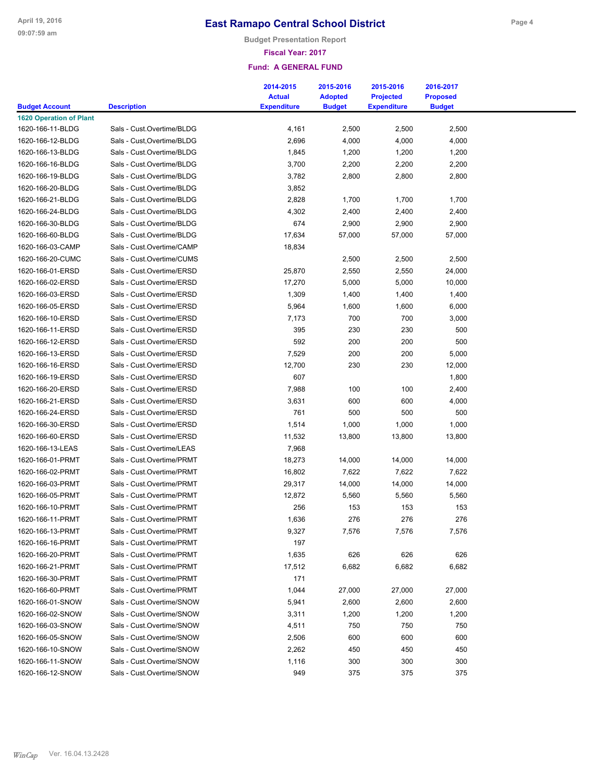**Budget Presentation Report**

#### **Fiscal Year: 2017**

|                                                         |                            | 2014-2015          | 2015-2016      | 2015-2016          | 2016-2017       |
|---------------------------------------------------------|----------------------------|--------------------|----------------|--------------------|-----------------|
|                                                         |                            | <b>Actual</b>      | <b>Adopted</b> | <b>Projected</b>   | <b>Proposed</b> |
| <b>Budget Account</b><br><b>1620 Operation of Plant</b> | <b>Description</b>         | <b>Expenditure</b> | <b>Budget</b>  | <b>Expenditure</b> | <b>Budget</b>   |
| 1620-166-11-BLDG                                        | Sals - Cust.Overtime/BLDG  | 4,161              | 2,500          | 2,500              | 2,500           |
| 1620-166-12-BLDG                                        | Sals - Cust, Overtime/BLDG | 2,696              | 4,000          | 4,000              | 4,000           |
| 1620-166-13-BLDG                                        | Sals - Cust.Overtime/BLDG  | 1,845              | 1,200          | 1,200              | 1,200           |
| 1620-166-16-BLDG                                        | Sals - Cust.Overtime/BLDG  | 3,700              | 2,200          | 2,200              | 2,200           |
| 1620-166-19-BLDG                                        | Sals - Cust.Overtime/BLDG  | 3,782              | 2,800          | 2,800              | 2,800           |
| 1620-166-20-BLDG                                        | Sals - Cust.Overtime/BLDG  | 3,852              |                |                    |                 |
| 1620-166-21-BLDG                                        | Sals - Cust.Overtime/BLDG  | 2,828              | 1,700          | 1,700              | 1,700           |
| 1620-166-24-BLDG                                        | Sals - Cust.Overtime/BLDG  | 4,302              | 2,400          | 2,400              | 2,400           |
| 1620-166-30-BLDG                                        | Sals - Cust.Overtime/BLDG  | 674                | 2,900          | 2,900              | 2,900           |
| 1620-166-60-BLDG                                        | Sals - Cust.Overtime/BLDG  |                    | 57,000         | 57,000             | 57,000          |
| 1620-166-03-CAMP                                        | Sals - Cust.Overtime/CAMP  | 17,634             |                |                    |                 |
|                                                         |                            | 18,834             |                |                    |                 |
| 1620-166-20-CUMC                                        | Sals - Cust.Overtime/CUMS  |                    | 2,500          | 2,500              | 2,500           |
| 1620-166-01-ERSD                                        | Sals - Cust.Overtime/ERSD  | 25,870             | 2,550          | 2,550              | 24,000          |
| 1620-166-02-ERSD                                        | Sals - Cust.Overtime/ERSD  | 17,270             | 5,000          | 5,000              | 10,000          |
| 1620-166-03-ERSD                                        | Sals - Cust.Overtime/ERSD  | 1,309              | 1,400          | 1,400              | 1,400           |
| 1620-166-05-ERSD                                        | Sals - Cust.Overtime/ERSD  | 5,964              | 1,600          | 1,600              | 6,000           |
| 1620-166-10-ERSD                                        | Sals - Cust.Overtime/ERSD  | 7,173              | 700            | 700                | 3,000           |
| 1620-166-11-ERSD                                        | Sals - Cust.Overtime/ERSD  | 395                | 230            | 230                | 500             |
| 1620-166-12-ERSD                                        | Sals - Cust.Overtime/ERSD  | 592                | 200            | 200                | 500             |
| 1620-166-13-ERSD                                        | Sals - Cust.Overtime/ERSD  | 7,529              | 200            | 200                | 5,000           |
| 1620-166-16-ERSD                                        | Sals - Cust.Overtime/ERSD  | 12,700             | 230            | 230                | 12,000          |
| 1620-166-19-ERSD                                        | Sals - Cust.Overtime/ERSD  | 607                |                |                    | 1,800           |
| 1620-166-20-ERSD                                        | Sals - Cust.Overtime/ERSD  | 7,988              | 100            | 100                | 2,400           |
| 1620-166-21-ERSD                                        | Sals - Cust.Overtime/ERSD  | 3,631              | 600            | 600                | 4,000           |
| 1620-166-24-ERSD                                        | Sals - Cust.Overtime/ERSD  | 761                | 500            | 500                | 500             |
| 1620-166-30-ERSD                                        | Sals - Cust.Overtime/ERSD  | 1,514              | 1,000          | 1,000              | 1,000           |
| 1620-166-60-ERSD                                        | Sals - Cust.Overtime/ERSD  | 11,532             | 13,800         | 13,800             | 13,800          |
| 1620-166-13-LEAS                                        | Sals - Cust.Overtime/LEAS  | 7,968              |                |                    |                 |
| 1620-166-01-PRMT                                        | Sals - Cust.Overtime/PRMT  | 18,273             | 14,000         | 14,000             | 14,000          |
| 1620-166-02-PRMT                                        | Sals - Cust.Overtime/PRMT  | 16,802             | 7,622          | 7,622              | 7,622           |
| 1620-166-03-PRMT                                        | Sals - Cust.Overtime/PRMT  | 29,317             | 14,000         | 14,000             | 14,000          |
| 1620-166-05-PRMT                                        | Sals - Cust.Overtime/PRMT  | 12,872             | 5,560          | 5,560              | 5,560           |
| 1620-166-10-PRMT                                        | Sals - Cust.Overtime/PRMT  | 256                | 153            | 153                | 153             |
| 1620-166-11-PRMT                                        | Sals - Cust.Overtime/PRMT  | 1,636              | 276            | 276                | 276             |
| 1620-166-13-PRMT                                        | Sals - Cust.Overtime/PRMT  | 9,327              | 7,576          | 7,576              | 7,576           |
| 1620-166-16-PRMT                                        | Sals - Cust.Overtime/PRMT  | 197                |                |                    |                 |
| 1620-166-20-PRMT                                        | Sals - Cust.Overtime/PRMT  | 1,635              | 626            | 626                | 626             |
| 1620-166-21-PRMT                                        | Sals - Cust.Overtime/PRMT  | 17,512             | 6,682          | 6,682              | 6,682           |
| 1620-166-30-PRMT                                        | Sals - Cust.Overtime/PRMT  | 171                |                |                    |                 |
| 1620-166-60-PRMT                                        | Sals - Cust.Overtime/PRMT  | 1,044              | 27,000         | 27,000             | 27,000          |
| 1620-166-01-SNOW                                        | Sals - Cust.Overtime/SNOW  | 5,941              | 2,600          | 2,600              | 2,600           |
| 1620-166-02-SNOW                                        | Sals - Cust.Overtime/SNOW  | 3,311              | 1,200          | 1,200              | 1,200           |
| 1620-166-03-SNOW                                        | Sals - Cust.Overtime/SNOW  | 4,511              | 750            | 750                | 750             |
| 1620-166-05-SNOW                                        | Sals - Cust.Overtime/SNOW  | 2,506              | 600            | 600                | 600             |
| 1620-166-10-SNOW                                        | Sals - Cust.Overtime/SNOW  | 2,262              | 450            | 450                | 450             |
| 1620-166-11-SNOW                                        | Sals - Cust.Overtime/SNOW  | 1,116              | 300            | 300                | 300             |
| 1620-166-12-SNOW                                        | Sals - Cust.Overtime/SNOW  | 949                | 375            | 375                | 375             |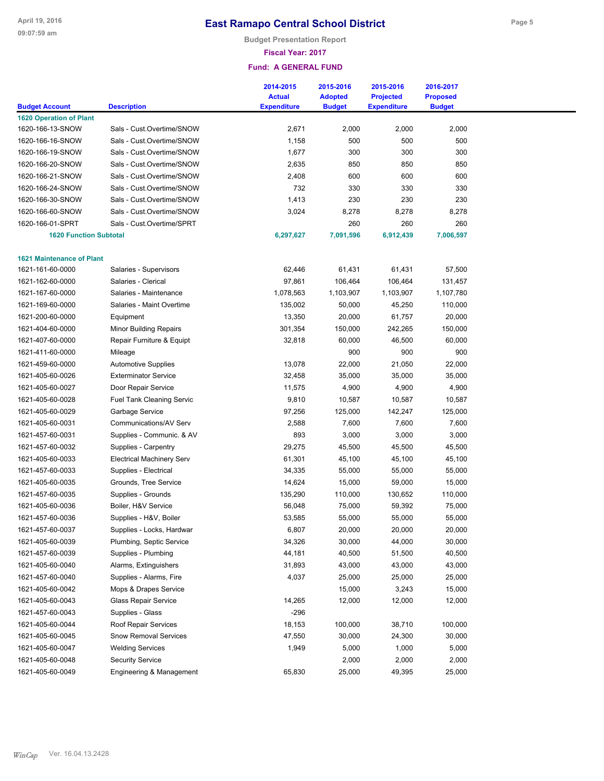**Budget Presentation Report**

### **Fiscal Year: 2017**

| <b>Description</b><br><b>Expenditure</b><br><b>Budget</b><br><b>Budget</b><br><b>Expenditure</b><br>2,000<br>2,000<br>1620-166-13-SNOW<br>Sals - Cust.Overtime/SNOW<br>2,671<br>2,000<br>500<br>500<br>500<br>1620-166-16-SNOW<br>Sals - Cust.Overtime/SNOW<br>1,158<br>300<br>300<br>300<br>1620-166-19-SNOW<br>Sals - Cust.Overtime/SNOW<br>1,677<br>2,635<br>850<br>850<br>850<br>1620-166-20-SNOW<br>Sals - Cust.Overtime/SNOW<br>600<br>600<br>600<br>1620-166-21-SNOW<br>Sals - Cust.Overtime/SNOW<br>2,408<br>732<br>330<br>330<br>330<br>1620-166-24-SNOW<br>Sals - Cust.Overtime/SNOW<br>1,413<br>230<br>230<br>230<br>1620-166-30-SNOW<br>Sals - Cust.Overtime/SNOW<br>1620-166-60-SNOW<br>Sals - Cust.Overtime/SNOW<br>3,024<br>8,278<br>8,278<br>8,278<br>260<br>260<br>1620-166-01-SPRT<br>Sals - Cust.Overtime/SPRT<br>260<br><b>1620 Function Subtotal</b><br>6,297,627<br>7,091,596<br>6,912,439<br>7,006,597<br><b>1621 Maintenance of Plant</b><br>57,500<br>1621-161-60-0000<br>Salaries - Supervisors<br>62,446<br>61,431<br>61,431<br>1621-162-60-0000<br>Salaries - Clerical<br>97,861<br>106,464<br>106,464<br>131,457<br>1621-167-60-0000<br>Salaries - Maintenance<br>1,078,563<br>1,103,907<br>1,103,907<br>1,107,780<br>1621-169-60-0000<br>Salaries - Maint Overtime<br>135,002<br>50,000<br>45,250<br>110,000<br>1621-200-60-0000<br>13,350<br>20,000<br>61,757<br>20,000<br>Equipment<br>1621-404-60-0000<br>Minor Building Repairs<br>301,354<br>150,000<br>242,265<br>150,000<br>1621-407-60-0000<br>Repair Furniture & Equipt<br>32,818<br>60,000<br>46,500<br>60,000<br>900<br>900<br>1621-411-60-0000<br>900<br>Mileage<br>13,078<br>1621-459-60-0000<br><b>Automotive Supplies</b><br>22,000<br>21,050<br>22,000<br>1621-405-60-0026<br><b>Exterminator Service</b><br>32,458<br>35,000<br>35,000<br>35,000<br>1621-405-60-0027<br>Door Repair Service<br>11,575<br>4,900<br>4,900<br>4,900<br>9,810<br>1621-405-60-0028<br><b>Fuel Tank Cleaning Servic</b><br>10,587<br>10,587<br>10,587<br>1621-405-60-0029<br>Garbage Service<br>97,256<br>125,000<br>142,247<br>125,000<br>1621-405-60-0031<br>Communications/AV Serv<br>2,588<br>7,600<br>7,600<br>7,600<br>893<br>1621-457-60-0031<br>Supplies - Communic. & AV<br>3,000<br>3,000<br>3,000<br>29,275<br>1621-457-60-0032<br>Supplies - Carpentry<br>45,500<br>45,500<br>45,500<br>1621-405-60-0033<br><b>Electrical Machinery Serv</b><br>61,301<br>45,100<br>45,100<br>45,100<br>1621-457-60-0033<br>Supplies - Electrical<br>34,335<br>55,000<br>55,000<br>55,000<br>1621-405-60-0035<br>Grounds, Tree Service<br>14,624<br>15,000<br>15,000<br>59,000<br>1621-457-60-0035<br>Supplies - Grounds<br>135,290<br>110,000<br>130,652<br>110,000<br>1621-405-60-0036<br>Boiler, H&V Service<br>56,048<br>75,000<br>59,392<br>75,000<br>53,585<br>1621-457-60-0036<br>Supplies - H&V, Boiler<br>55,000<br>55,000<br>55,000<br>6,807<br>20,000<br>20,000<br>20,000<br>1621-457-60-0037<br>Supplies - Locks, Hardwar<br>1621-405-60-0039<br>Plumbing, Septic Service<br>34,326<br>30,000<br>30,000<br>44,000<br>44,181<br>40,500<br>40,500<br>1621-457-60-0039<br>Supplies - Plumbing<br>51,500<br>Alarms, Extinguishers<br>43,000<br>1621-405-60-0040<br>31,893<br>43,000<br>43,000<br>4,037<br>25,000<br>1621-457-60-0040<br>Supplies - Alarms, Fire<br>25,000<br>25,000<br>Mops & Drapes Service<br>15,000<br>1621-405-60-0042<br>15,000<br>3,243<br>14,265<br>12,000<br>1621-405-60-0043<br><b>Glass Repair Service</b><br>12,000<br>12,000<br>$-296$<br>1621-457-60-0043<br>Supplies - Glass<br>Roof Repair Services<br>18,153<br>1621-405-60-0044<br>100,000<br>38,710<br>100,000<br>47,550<br>30,000<br>1621-405-60-0045<br><b>Snow Removal Services</b><br>30,000<br>24,300<br>1,949<br>1,000<br>5,000<br>1621-405-60-0047<br><b>Welding Services</b><br>5,000<br>1621-405-60-0048<br><b>Security Service</b><br>2,000<br>2,000<br>2,000<br>1621-405-60-0049<br>Engineering & Management<br>65,830<br>25,000<br>25,000<br>49,395 |                                | 2014-2015<br><b>Actual</b> | 2015-2016<br><b>Adopted</b> | 2015-2016<br><b>Projected</b> | 2016-2017<br><b>Proposed</b> |  |
|--------------------------------------------------------------------------------------------------------------------------------------------------------------------------------------------------------------------------------------------------------------------------------------------------------------------------------------------------------------------------------------------------------------------------------------------------------------------------------------------------------------------------------------------------------------------------------------------------------------------------------------------------------------------------------------------------------------------------------------------------------------------------------------------------------------------------------------------------------------------------------------------------------------------------------------------------------------------------------------------------------------------------------------------------------------------------------------------------------------------------------------------------------------------------------------------------------------------------------------------------------------------------------------------------------------------------------------------------------------------------------------------------------------------------------------------------------------------------------------------------------------------------------------------------------------------------------------------------------------------------------------------------------------------------------------------------------------------------------------------------------------------------------------------------------------------------------------------------------------------------------------------------------------------------------------------------------------------------------------------------------------------------------------------------------------------------------------------------------------------------------------------------------------------------------------------------------------------------------------------------------------------------------------------------------------------------------------------------------------------------------------------------------------------------------------------------------------------------------------------------------------------------------------------------------------------------------------------------------------------------------------------------------------------------------------------------------------------------------------------------------------------------------------------------------------------------------------------------------------------------------------------------------------------------------------------------------------------------------------------------------------------------------------------------------------------------------------------------------------------------------------------------------------------------------------------------------------------------------------------------------------------------------------------------------------------------------------------------------------------------------------------------------------------------------------------------------------------------------------------------------------------------------------------------------------------------------------------------------------------------------------------------------------------------------------------------------------------------------------------------------------------------------------------------------------------------------------------------------------------------------------------------------------------------------------------------------------------------------------------------------------------------------|--------------------------------|----------------------------|-----------------------------|-------------------------------|------------------------------|--|
|                                                                                                                                                                                                                                                                                                                                                                                                                                                                                                                                                                                                                                                                                                                                                                                                                                                                                                                                                                                                                                                                                                                                                                                                                                                                                                                                                                                                                                                                                                                                                                                                                                                                                                                                                                                                                                                                                                                                                                                                                                                                                                                                                                                                                                                                                                                                                                                                                                                                                                                                                                                                                                                                                                                                                                                                                                                                                                                                                                                                                                                                                                                                                                                                                                                                                                                                                                                                                                                                                                                                                                                                                                                                                                                                                                                                                                                                                                                                                                                                                                | <b>Budget Account</b>          |                            |                             |                               |                              |  |
|                                                                                                                                                                                                                                                                                                                                                                                                                                                                                                                                                                                                                                                                                                                                                                                                                                                                                                                                                                                                                                                                                                                                                                                                                                                                                                                                                                                                                                                                                                                                                                                                                                                                                                                                                                                                                                                                                                                                                                                                                                                                                                                                                                                                                                                                                                                                                                                                                                                                                                                                                                                                                                                                                                                                                                                                                                                                                                                                                                                                                                                                                                                                                                                                                                                                                                                                                                                                                                                                                                                                                                                                                                                                                                                                                                                                                                                                                                                                                                                                                                | <b>1620 Operation of Plant</b> |                            |                             |                               |                              |  |
|                                                                                                                                                                                                                                                                                                                                                                                                                                                                                                                                                                                                                                                                                                                                                                                                                                                                                                                                                                                                                                                                                                                                                                                                                                                                                                                                                                                                                                                                                                                                                                                                                                                                                                                                                                                                                                                                                                                                                                                                                                                                                                                                                                                                                                                                                                                                                                                                                                                                                                                                                                                                                                                                                                                                                                                                                                                                                                                                                                                                                                                                                                                                                                                                                                                                                                                                                                                                                                                                                                                                                                                                                                                                                                                                                                                                                                                                                                                                                                                                                                |                                |                            |                             |                               |                              |  |
|                                                                                                                                                                                                                                                                                                                                                                                                                                                                                                                                                                                                                                                                                                                                                                                                                                                                                                                                                                                                                                                                                                                                                                                                                                                                                                                                                                                                                                                                                                                                                                                                                                                                                                                                                                                                                                                                                                                                                                                                                                                                                                                                                                                                                                                                                                                                                                                                                                                                                                                                                                                                                                                                                                                                                                                                                                                                                                                                                                                                                                                                                                                                                                                                                                                                                                                                                                                                                                                                                                                                                                                                                                                                                                                                                                                                                                                                                                                                                                                                                                |                                |                            |                             |                               |                              |  |
|                                                                                                                                                                                                                                                                                                                                                                                                                                                                                                                                                                                                                                                                                                                                                                                                                                                                                                                                                                                                                                                                                                                                                                                                                                                                                                                                                                                                                                                                                                                                                                                                                                                                                                                                                                                                                                                                                                                                                                                                                                                                                                                                                                                                                                                                                                                                                                                                                                                                                                                                                                                                                                                                                                                                                                                                                                                                                                                                                                                                                                                                                                                                                                                                                                                                                                                                                                                                                                                                                                                                                                                                                                                                                                                                                                                                                                                                                                                                                                                                                                |                                |                            |                             |                               |                              |  |
|                                                                                                                                                                                                                                                                                                                                                                                                                                                                                                                                                                                                                                                                                                                                                                                                                                                                                                                                                                                                                                                                                                                                                                                                                                                                                                                                                                                                                                                                                                                                                                                                                                                                                                                                                                                                                                                                                                                                                                                                                                                                                                                                                                                                                                                                                                                                                                                                                                                                                                                                                                                                                                                                                                                                                                                                                                                                                                                                                                                                                                                                                                                                                                                                                                                                                                                                                                                                                                                                                                                                                                                                                                                                                                                                                                                                                                                                                                                                                                                                                                |                                |                            |                             |                               |                              |  |
|                                                                                                                                                                                                                                                                                                                                                                                                                                                                                                                                                                                                                                                                                                                                                                                                                                                                                                                                                                                                                                                                                                                                                                                                                                                                                                                                                                                                                                                                                                                                                                                                                                                                                                                                                                                                                                                                                                                                                                                                                                                                                                                                                                                                                                                                                                                                                                                                                                                                                                                                                                                                                                                                                                                                                                                                                                                                                                                                                                                                                                                                                                                                                                                                                                                                                                                                                                                                                                                                                                                                                                                                                                                                                                                                                                                                                                                                                                                                                                                                                                |                                |                            |                             |                               |                              |  |
|                                                                                                                                                                                                                                                                                                                                                                                                                                                                                                                                                                                                                                                                                                                                                                                                                                                                                                                                                                                                                                                                                                                                                                                                                                                                                                                                                                                                                                                                                                                                                                                                                                                                                                                                                                                                                                                                                                                                                                                                                                                                                                                                                                                                                                                                                                                                                                                                                                                                                                                                                                                                                                                                                                                                                                                                                                                                                                                                                                                                                                                                                                                                                                                                                                                                                                                                                                                                                                                                                                                                                                                                                                                                                                                                                                                                                                                                                                                                                                                                                                |                                |                            |                             |                               |                              |  |
|                                                                                                                                                                                                                                                                                                                                                                                                                                                                                                                                                                                                                                                                                                                                                                                                                                                                                                                                                                                                                                                                                                                                                                                                                                                                                                                                                                                                                                                                                                                                                                                                                                                                                                                                                                                                                                                                                                                                                                                                                                                                                                                                                                                                                                                                                                                                                                                                                                                                                                                                                                                                                                                                                                                                                                                                                                                                                                                                                                                                                                                                                                                                                                                                                                                                                                                                                                                                                                                                                                                                                                                                                                                                                                                                                                                                                                                                                                                                                                                                                                |                                |                            |                             |                               |                              |  |
|                                                                                                                                                                                                                                                                                                                                                                                                                                                                                                                                                                                                                                                                                                                                                                                                                                                                                                                                                                                                                                                                                                                                                                                                                                                                                                                                                                                                                                                                                                                                                                                                                                                                                                                                                                                                                                                                                                                                                                                                                                                                                                                                                                                                                                                                                                                                                                                                                                                                                                                                                                                                                                                                                                                                                                                                                                                                                                                                                                                                                                                                                                                                                                                                                                                                                                                                                                                                                                                                                                                                                                                                                                                                                                                                                                                                                                                                                                                                                                                                                                |                                |                            |                             |                               |                              |  |
|                                                                                                                                                                                                                                                                                                                                                                                                                                                                                                                                                                                                                                                                                                                                                                                                                                                                                                                                                                                                                                                                                                                                                                                                                                                                                                                                                                                                                                                                                                                                                                                                                                                                                                                                                                                                                                                                                                                                                                                                                                                                                                                                                                                                                                                                                                                                                                                                                                                                                                                                                                                                                                                                                                                                                                                                                                                                                                                                                                                                                                                                                                                                                                                                                                                                                                                                                                                                                                                                                                                                                                                                                                                                                                                                                                                                                                                                                                                                                                                                                                |                                |                            |                             |                               |                              |  |
|                                                                                                                                                                                                                                                                                                                                                                                                                                                                                                                                                                                                                                                                                                                                                                                                                                                                                                                                                                                                                                                                                                                                                                                                                                                                                                                                                                                                                                                                                                                                                                                                                                                                                                                                                                                                                                                                                                                                                                                                                                                                                                                                                                                                                                                                                                                                                                                                                                                                                                                                                                                                                                                                                                                                                                                                                                                                                                                                                                                                                                                                                                                                                                                                                                                                                                                                                                                                                                                                                                                                                                                                                                                                                                                                                                                                                                                                                                                                                                                                                                |                                |                            |                             |                               |                              |  |
|                                                                                                                                                                                                                                                                                                                                                                                                                                                                                                                                                                                                                                                                                                                                                                                                                                                                                                                                                                                                                                                                                                                                                                                                                                                                                                                                                                                                                                                                                                                                                                                                                                                                                                                                                                                                                                                                                                                                                                                                                                                                                                                                                                                                                                                                                                                                                                                                                                                                                                                                                                                                                                                                                                                                                                                                                                                                                                                                                                                                                                                                                                                                                                                                                                                                                                                                                                                                                                                                                                                                                                                                                                                                                                                                                                                                                                                                                                                                                                                                                                |                                |                            |                             |                               |                              |  |
|                                                                                                                                                                                                                                                                                                                                                                                                                                                                                                                                                                                                                                                                                                                                                                                                                                                                                                                                                                                                                                                                                                                                                                                                                                                                                                                                                                                                                                                                                                                                                                                                                                                                                                                                                                                                                                                                                                                                                                                                                                                                                                                                                                                                                                                                                                                                                                                                                                                                                                                                                                                                                                                                                                                                                                                                                                                                                                                                                                                                                                                                                                                                                                                                                                                                                                                                                                                                                                                                                                                                                                                                                                                                                                                                                                                                                                                                                                                                                                                                                                |                                |                            |                             |                               |                              |  |
|                                                                                                                                                                                                                                                                                                                                                                                                                                                                                                                                                                                                                                                                                                                                                                                                                                                                                                                                                                                                                                                                                                                                                                                                                                                                                                                                                                                                                                                                                                                                                                                                                                                                                                                                                                                                                                                                                                                                                                                                                                                                                                                                                                                                                                                                                                                                                                                                                                                                                                                                                                                                                                                                                                                                                                                                                                                                                                                                                                                                                                                                                                                                                                                                                                                                                                                                                                                                                                                                                                                                                                                                                                                                                                                                                                                                                                                                                                                                                                                                                                |                                |                            |                             |                               |                              |  |
|                                                                                                                                                                                                                                                                                                                                                                                                                                                                                                                                                                                                                                                                                                                                                                                                                                                                                                                                                                                                                                                                                                                                                                                                                                                                                                                                                                                                                                                                                                                                                                                                                                                                                                                                                                                                                                                                                                                                                                                                                                                                                                                                                                                                                                                                                                                                                                                                                                                                                                                                                                                                                                                                                                                                                                                                                                                                                                                                                                                                                                                                                                                                                                                                                                                                                                                                                                                                                                                                                                                                                                                                                                                                                                                                                                                                                                                                                                                                                                                                                                |                                |                            |                             |                               |                              |  |
|                                                                                                                                                                                                                                                                                                                                                                                                                                                                                                                                                                                                                                                                                                                                                                                                                                                                                                                                                                                                                                                                                                                                                                                                                                                                                                                                                                                                                                                                                                                                                                                                                                                                                                                                                                                                                                                                                                                                                                                                                                                                                                                                                                                                                                                                                                                                                                                                                                                                                                                                                                                                                                                                                                                                                                                                                                                                                                                                                                                                                                                                                                                                                                                                                                                                                                                                                                                                                                                                                                                                                                                                                                                                                                                                                                                                                                                                                                                                                                                                                                |                                |                            |                             |                               |                              |  |
|                                                                                                                                                                                                                                                                                                                                                                                                                                                                                                                                                                                                                                                                                                                                                                                                                                                                                                                                                                                                                                                                                                                                                                                                                                                                                                                                                                                                                                                                                                                                                                                                                                                                                                                                                                                                                                                                                                                                                                                                                                                                                                                                                                                                                                                                                                                                                                                                                                                                                                                                                                                                                                                                                                                                                                                                                                                                                                                                                                                                                                                                                                                                                                                                                                                                                                                                                                                                                                                                                                                                                                                                                                                                                                                                                                                                                                                                                                                                                                                                                                |                                |                            |                             |                               |                              |  |
|                                                                                                                                                                                                                                                                                                                                                                                                                                                                                                                                                                                                                                                                                                                                                                                                                                                                                                                                                                                                                                                                                                                                                                                                                                                                                                                                                                                                                                                                                                                                                                                                                                                                                                                                                                                                                                                                                                                                                                                                                                                                                                                                                                                                                                                                                                                                                                                                                                                                                                                                                                                                                                                                                                                                                                                                                                                                                                                                                                                                                                                                                                                                                                                                                                                                                                                                                                                                                                                                                                                                                                                                                                                                                                                                                                                                                                                                                                                                                                                                                                |                                |                            |                             |                               |                              |  |
|                                                                                                                                                                                                                                                                                                                                                                                                                                                                                                                                                                                                                                                                                                                                                                                                                                                                                                                                                                                                                                                                                                                                                                                                                                                                                                                                                                                                                                                                                                                                                                                                                                                                                                                                                                                                                                                                                                                                                                                                                                                                                                                                                                                                                                                                                                                                                                                                                                                                                                                                                                                                                                                                                                                                                                                                                                                                                                                                                                                                                                                                                                                                                                                                                                                                                                                                                                                                                                                                                                                                                                                                                                                                                                                                                                                                                                                                                                                                                                                                                                |                                |                            |                             |                               |                              |  |
|                                                                                                                                                                                                                                                                                                                                                                                                                                                                                                                                                                                                                                                                                                                                                                                                                                                                                                                                                                                                                                                                                                                                                                                                                                                                                                                                                                                                                                                                                                                                                                                                                                                                                                                                                                                                                                                                                                                                                                                                                                                                                                                                                                                                                                                                                                                                                                                                                                                                                                                                                                                                                                                                                                                                                                                                                                                                                                                                                                                                                                                                                                                                                                                                                                                                                                                                                                                                                                                                                                                                                                                                                                                                                                                                                                                                                                                                                                                                                                                                                                |                                |                            |                             |                               |                              |  |
|                                                                                                                                                                                                                                                                                                                                                                                                                                                                                                                                                                                                                                                                                                                                                                                                                                                                                                                                                                                                                                                                                                                                                                                                                                                                                                                                                                                                                                                                                                                                                                                                                                                                                                                                                                                                                                                                                                                                                                                                                                                                                                                                                                                                                                                                                                                                                                                                                                                                                                                                                                                                                                                                                                                                                                                                                                                                                                                                                                                                                                                                                                                                                                                                                                                                                                                                                                                                                                                                                                                                                                                                                                                                                                                                                                                                                                                                                                                                                                                                                                |                                |                            |                             |                               |                              |  |
|                                                                                                                                                                                                                                                                                                                                                                                                                                                                                                                                                                                                                                                                                                                                                                                                                                                                                                                                                                                                                                                                                                                                                                                                                                                                                                                                                                                                                                                                                                                                                                                                                                                                                                                                                                                                                                                                                                                                                                                                                                                                                                                                                                                                                                                                                                                                                                                                                                                                                                                                                                                                                                                                                                                                                                                                                                                                                                                                                                                                                                                                                                                                                                                                                                                                                                                                                                                                                                                                                                                                                                                                                                                                                                                                                                                                                                                                                                                                                                                                                                |                                |                            |                             |                               |                              |  |
|                                                                                                                                                                                                                                                                                                                                                                                                                                                                                                                                                                                                                                                                                                                                                                                                                                                                                                                                                                                                                                                                                                                                                                                                                                                                                                                                                                                                                                                                                                                                                                                                                                                                                                                                                                                                                                                                                                                                                                                                                                                                                                                                                                                                                                                                                                                                                                                                                                                                                                                                                                                                                                                                                                                                                                                                                                                                                                                                                                                                                                                                                                                                                                                                                                                                                                                                                                                                                                                                                                                                                                                                                                                                                                                                                                                                                                                                                                                                                                                                                                |                                |                            |                             |                               |                              |  |
|                                                                                                                                                                                                                                                                                                                                                                                                                                                                                                                                                                                                                                                                                                                                                                                                                                                                                                                                                                                                                                                                                                                                                                                                                                                                                                                                                                                                                                                                                                                                                                                                                                                                                                                                                                                                                                                                                                                                                                                                                                                                                                                                                                                                                                                                                                                                                                                                                                                                                                                                                                                                                                                                                                                                                                                                                                                                                                                                                                                                                                                                                                                                                                                                                                                                                                                                                                                                                                                                                                                                                                                                                                                                                                                                                                                                                                                                                                                                                                                                                                |                                |                            |                             |                               |                              |  |
|                                                                                                                                                                                                                                                                                                                                                                                                                                                                                                                                                                                                                                                                                                                                                                                                                                                                                                                                                                                                                                                                                                                                                                                                                                                                                                                                                                                                                                                                                                                                                                                                                                                                                                                                                                                                                                                                                                                                                                                                                                                                                                                                                                                                                                                                                                                                                                                                                                                                                                                                                                                                                                                                                                                                                                                                                                                                                                                                                                                                                                                                                                                                                                                                                                                                                                                                                                                                                                                                                                                                                                                                                                                                                                                                                                                                                                                                                                                                                                                                                                |                                |                            |                             |                               |                              |  |
|                                                                                                                                                                                                                                                                                                                                                                                                                                                                                                                                                                                                                                                                                                                                                                                                                                                                                                                                                                                                                                                                                                                                                                                                                                                                                                                                                                                                                                                                                                                                                                                                                                                                                                                                                                                                                                                                                                                                                                                                                                                                                                                                                                                                                                                                                                                                                                                                                                                                                                                                                                                                                                                                                                                                                                                                                                                                                                                                                                                                                                                                                                                                                                                                                                                                                                                                                                                                                                                                                                                                                                                                                                                                                                                                                                                                                                                                                                                                                                                                                                |                                |                            |                             |                               |                              |  |
|                                                                                                                                                                                                                                                                                                                                                                                                                                                                                                                                                                                                                                                                                                                                                                                                                                                                                                                                                                                                                                                                                                                                                                                                                                                                                                                                                                                                                                                                                                                                                                                                                                                                                                                                                                                                                                                                                                                                                                                                                                                                                                                                                                                                                                                                                                                                                                                                                                                                                                                                                                                                                                                                                                                                                                                                                                                                                                                                                                                                                                                                                                                                                                                                                                                                                                                                                                                                                                                                                                                                                                                                                                                                                                                                                                                                                                                                                                                                                                                                                                |                                |                            |                             |                               |                              |  |
|                                                                                                                                                                                                                                                                                                                                                                                                                                                                                                                                                                                                                                                                                                                                                                                                                                                                                                                                                                                                                                                                                                                                                                                                                                                                                                                                                                                                                                                                                                                                                                                                                                                                                                                                                                                                                                                                                                                                                                                                                                                                                                                                                                                                                                                                                                                                                                                                                                                                                                                                                                                                                                                                                                                                                                                                                                                                                                                                                                                                                                                                                                                                                                                                                                                                                                                                                                                                                                                                                                                                                                                                                                                                                                                                                                                                                                                                                                                                                                                                                                |                                |                            |                             |                               |                              |  |
|                                                                                                                                                                                                                                                                                                                                                                                                                                                                                                                                                                                                                                                                                                                                                                                                                                                                                                                                                                                                                                                                                                                                                                                                                                                                                                                                                                                                                                                                                                                                                                                                                                                                                                                                                                                                                                                                                                                                                                                                                                                                                                                                                                                                                                                                                                                                                                                                                                                                                                                                                                                                                                                                                                                                                                                                                                                                                                                                                                                                                                                                                                                                                                                                                                                                                                                                                                                                                                                                                                                                                                                                                                                                                                                                                                                                                                                                                                                                                                                                                                |                                |                            |                             |                               |                              |  |
|                                                                                                                                                                                                                                                                                                                                                                                                                                                                                                                                                                                                                                                                                                                                                                                                                                                                                                                                                                                                                                                                                                                                                                                                                                                                                                                                                                                                                                                                                                                                                                                                                                                                                                                                                                                                                                                                                                                                                                                                                                                                                                                                                                                                                                                                                                                                                                                                                                                                                                                                                                                                                                                                                                                                                                                                                                                                                                                                                                                                                                                                                                                                                                                                                                                                                                                                                                                                                                                                                                                                                                                                                                                                                                                                                                                                                                                                                                                                                                                                                                |                                |                            |                             |                               |                              |  |
|                                                                                                                                                                                                                                                                                                                                                                                                                                                                                                                                                                                                                                                                                                                                                                                                                                                                                                                                                                                                                                                                                                                                                                                                                                                                                                                                                                                                                                                                                                                                                                                                                                                                                                                                                                                                                                                                                                                                                                                                                                                                                                                                                                                                                                                                                                                                                                                                                                                                                                                                                                                                                                                                                                                                                                                                                                                                                                                                                                                                                                                                                                                                                                                                                                                                                                                                                                                                                                                                                                                                                                                                                                                                                                                                                                                                                                                                                                                                                                                                                                |                                |                            |                             |                               |                              |  |
|                                                                                                                                                                                                                                                                                                                                                                                                                                                                                                                                                                                                                                                                                                                                                                                                                                                                                                                                                                                                                                                                                                                                                                                                                                                                                                                                                                                                                                                                                                                                                                                                                                                                                                                                                                                                                                                                                                                                                                                                                                                                                                                                                                                                                                                                                                                                                                                                                                                                                                                                                                                                                                                                                                                                                                                                                                                                                                                                                                                                                                                                                                                                                                                                                                                                                                                                                                                                                                                                                                                                                                                                                                                                                                                                                                                                                                                                                                                                                                                                                                |                                |                            |                             |                               |                              |  |
|                                                                                                                                                                                                                                                                                                                                                                                                                                                                                                                                                                                                                                                                                                                                                                                                                                                                                                                                                                                                                                                                                                                                                                                                                                                                                                                                                                                                                                                                                                                                                                                                                                                                                                                                                                                                                                                                                                                                                                                                                                                                                                                                                                                                                                                                                                                                                                                                                                                                                                                                                                                                                                                                                                                                                                                                                                                                                                                                                                                                                                                                                                                                                                                                                                                                                                                                                                                                                                                                                                                                                                                                                                                                                                                                                                                                                                                                                                                                                                                                                                |                                |                            |                             |                               |                              |  |
|                                                                                                                                                                                                                                                                                                                                                                                                                                                                                                                                                                                                                                                                                                                                                                                                                                                                                                                                                                                                                                                                                                                                                                                                                                                                                                                                                                                                                                                                                                                                                                                                                                                                                                                                                                                                                                                                                                                                                                                                                                                                                                                                                                                                                                                                                                                                                                                                                                                                                                                                                                                                                                                                                                                                                                                                                                                                                                                                                                                                                                                                                                                                                                                                                                                                                                                                                                                                                                                                                                                                                                                                                                                                                                                                                                                                                                                                                                                                                                                                                                |                                |                            |                             |                               |                              |  |
|                                                                                                                                                                                                                                                                                                                                                                                                                                                                                                                                                                                                                                                                                                                                                                                                                                                                                                                                                                                                                                                                                                                                                                                                                                                                                                                                                                                                                                                                                                                                                                                                                                                                                                                                                                                                                                                                                                                                                                                                                                                                                                                                                                                                                                                                                                                                                                                                                                                                                                                                                                                                                                                                                                                                                                                                                                                                                                                                                                                                                                                                                                                                                                                                                                                                                                                                                                                                                                                                                                                                                                                                                                                                                                                                                                                                                                                                                                                                                                                                                                |                                |                            |                             |                               |                              |  |
|                                                                                                                                                                                                                                                                                                                                                                                                                                                                                                                                                                                                                                                                                                                                                                                                                                                                                                                                                                                                                                                                                                                                                                                                                                                                                                                                                                                                                                                                                                                                                                                                                                                                                                                                                                                                                                                                                                                                                                                                                                                                                                                                                                                                                                                                                                                                                                                                                                                                                                                                                                                                                                                                                                                                                                                                                                                                                                                                                                                                                                                                                                                                                                                                                                                                                                                                                                                                                                                                                                                                                                                                                                                                                                                                                                                                                                                                                                                                                                                                                                |                                |                            |                             |                               |                              |  |
|                                                                                                                                                                                                                                                                                                                                                                                                                                                                                                                                                                                                                                                                                                                                                                                                                                                                                                                                                                                                                                                                                                                                                                                                                                                                                                                                                                                                                                                                                                                                                                                                                                                                                                                                                                                                                                                                                                                                                                                                                                                                                                                                                                                                                                                                                                                                                                                                                                                                                                                                                                                                                                                                                                                                                                                                                                                                                                                                                                                                                                                                                                                                                                                                                                                                                                                                                                                                                                                                                                                                                                                                                                                                                                                                                                                                                                                                                                                                                                                                                                |                                |                            |                             |                               |                              |  |
|                                                                                                                                                                                                                                                                                                                                                                                                                                                                                                                                                                                                                                                                                                                                                                                                                                                                                                                                                                                                                                                                                                                                                                                                                                                                                                                                                                                                                                                                                                                                                                                                                                                                                                                                                                                                                                                                                                                                                                                                                                                                                                                                                                                                                                                                                                                                                                                                                                                                                                                                                                                                                                                                                                                                                                                                                                                                                                                                                                                                                                                                                                                                                                                                                                                                                                                                                                                                                                                                                                                                                                                                                                                                                                                                                                                                                                                                                                                                                                                                                                |                                |                            |                             |                               |                              |  |
|                                                                                                                                                                                                                                                                                                                                                                                                                                                                                                                                                                                                                                                                                                                                                                                                                                                                                                                                                                                                                                                                                                                                                                                                                                                                                                                                                                                                                                                                                                                                                                                                                                                                                                                                                                                                                                                                                                                                                                                                                                                                                                                                                                                                                                                                                                                                                                                                                                                                                                                                                                                                                                                                                                                                                                                                                                                                                                                                                                                                                                                                                                                                                                                                                                                                                                                                                                                                                                                                                                                                                                                                                                                                                                                                                                                                                                                                                                                                                                                                                                |                                |                            |                             |                               |                              |  |
|                                                                                                                                                                                                                                                                                                                                                                                                                                                                                                                                                                                                                                                                                                                                                                                                                                                                                                                                                                                                                                                                                                                                                                                                                                                                                                                                                                                                                                                                                                                                                                                                                                                                                                                                                                                                                                                                                                                                                                                                                                                                                                                                                                                                                                                                                                                                                                                                                                                                                                                                                                                                                                                                                                                                                                                                                                                                                                                                                                                                                                                                                                                                                                                                                                                                                                                                                                                                                                                                                                                                                                                                                                                                                                                                                                                                                                                                                                                                                                                                                                |                                |                            |                             |                               |                              |  |
|                                                                                                                                                                                                                                                                                                                                                                                                                                                                                                                                                                                                                                                                                                                                                                                                                                                                                                                                                                                                                                                                                                                                                                                                                                                                                                                                                                                                                                                                                                                                                                                                                                                                                                                                                                                                                                                                                                                                                                                                                                                                                                                                                                                                                                                                                                                                                                                                                                                                                                                                                                                                                                                                                                                                                                                                                                                                                                                                                                                                                                                                                                                                                                                                                                                                                                                                                                                                                                                                                                                                                                                                                                                                                                                                                                                                                                                                                                                                                                                                                                |                                |                            |                             |                               |                              |  |
|                                                                                                                                                                                                                                                                                                                                                                                                                                                                                                                                                                                                                                                                                                                                                                                                                                                                                                                                                                                                                                                                                                                                                                                                                                                                                                                                                                                                                                                                                                                                                                                                                                                                                                                                                                                                                                                                                                                                                                                                                                                                                                                                                                                                                                                                                                                                                                                                                                                                                                                                                                                                                                                                                                                                                                                                                                                                                                                                                                                                                                                                                                                                                                                                                                                                                                                                                                                                                                                                                                                                                                                                                                                                                                                                                                                                                                                                                                                                                                                                                                |                                |                            |                             |                               |                              |  |
|                                                                                                                                                                                                                                                                                                                                                                                                                                                                                                                                                                                                                                                                                                                                                                                                                                                                                                                                                                                                                                                                                                                                                                                                                                                                                                                                                                                                                                                                                                                                                                                                                                                                                                                                                                                                                                                                                                                                                                                                                                                                                                                                                                                                                                                                                                                                                                                                                                                                                                                                                                                                                                                                                                                                                                                                                                                                                                                                                                                                                                                                                                                                                                                                                                                                                                                                                                                                                                                                                                                                                                                                                                                                                                                                                                                                                                                                                                                                                                                                                                |                                |                            |                             |                               |                              |  |
|                                                                                                                                                                                                                                                                                                                                                                                                                                                                                                                                                                                                                                                                                                                                                                                                                                                                                                                                                                                                                                                                                                                                                                                                                                                                                                                                                                                                                                                                                                                                                                                                                                                                                                                                                                                                                                                                                                                                                                                                                                                                                                                                                                                                                                                                                                                                                                                                                                                                                                                                                                                                                                                                                                                                                                                                                                                                                                                                                                                                                                                                                                                                                                                                                                                                                                                                                                                                                                                                                                                                                                                                                                                                                                                                                                                                                                                                                                                                                                                                                                |                                |                            |                             |                               |                              |  |
|                                                                                                                                                                                                                                                                                                                                                                                                                                                                                                                                                                                                                                                                                                                                                                                                                                                                                                                                                                                                                                                                                                                                                                                                                                                                                                                                                                                                                                                                                                                                                                                                                                                                                                                                                                                                                                                                                                                                                                                                                                                                                                                                                                                                                                                                                                                                                                                                                                                                                                                                                                                                                                                                                                                                                                                                                                                                                                                                                                                                                                                                                                                                                                                                                                                                                                                                                                                                                                                                                                                                                                                                                                                                                                                                                                                                                                                                                                                                                                                                                                |                                |                            |                             |                               |                              |  |
|                                                                                                                                                                                                                                                                                                                                                                                                                                                                                                                                                                                                                                                                                                                                                                                                                                                                                                                                                                                                                                                                                                                                                                                                                                                                                                                                                                                                                                                                                                                                                                                                                                                                                                                                                                                                                                                                                                                                                                                                                                                                                                                                                                                                                                                                                                                                                                                                                                                                                                                                                                                                                                                                                                                                                                                                                                                                                                                                                                                                                                                                                                                                                                                                                                                                                                                                                                                                                                                                                                                                                                                                                                                                                                                                                                                                                                                                                                                                                                                                                                |                                |                            |                             |                               |                              |  |
|                                                                                                                                                                                                                                                                                                                                                                                                                                                                                                                                                                                                                                                                                                                                                                                                                                                                                                                                                                                                                                                                                                                                                                                                                                                                                                                                                                                                                                                                                                                                                                                                                                                                                                                                                                                                                                                                                                                                                                                                                                                                                                                                                                                                                                                                                                                                                                                                                                                                                                                                                                                                                                                                                                                                                                                                                                                                                                                                                                                                                                                                                                                                                                                                                                                                                                                                                                                                                                                                                                                                                                                                                                                                                                                                                                                                                                                                                                                                                                                                                                |                                |                            |                             |                               |                              |  |
|                                                                                                                                                                                                                                                                                                                                                                                                                                                                                                                                                                                                                                                                                                                                                                                                                                                                                                                                                                                                                                                                                                                                                                                                                                                                                                                                                                                                                                                                                                                                                                                                                                                                                                                                                                                                                                                                                                                                                                                                                                                                                                                                                                                                                                                                                                                                                                                                                                                                                                                                                                                                                                                                                                                                                                                                                                                                                                                                                                                                                                                                                                                                                                                                                                                                                                                                                                                                                                                                                                                                                                                                                                                                                                                                                                                                                                                                                                                                                                                                                                |                                |                            |                             |                               |                              |  |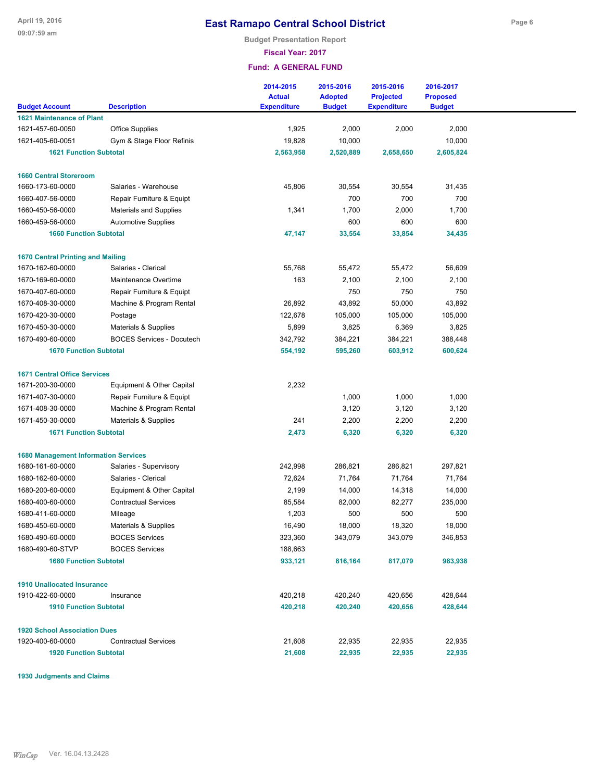**Budget Presentation Report**

**Fiscal Year: 2017**

**Fund: A GENERAL FUND**

|                                                       |                                  | 2014-2015<br><b>Actual</b> | 2015-2016<br><b>Adopted</b> | 2015-2016<br><b>Projected</b> | 2016-2017<br><b>Proposed</b> |  |
|-------------------------------------------------------|----------------------------------|----------------------------|-----------------------------|-------------------------------|------------------------------|--|
| <b>Budget Account</b>                                 | <b>Description</b>               | <b>Expenditure</b>         | <b>Budget</b>               | <b>Expenditure</b>            | <b>Budget</b>                |  |
| <b>1621 Maintenance of Plant</b>                      |                                  |                            |                             |                               |                              |  |
| 1621-457-60-0050                                      | <b>Office Supplies</b>           | 1,925                      | 2,000                       | 2,000                         | 2,000                        |  |
| 1621-405-60-0051                                      | Gym & Stage Floor Refinis        | 19,828                     | 10,000                      |                               | 10,000                       |  |
| <b>1621 Function Subtotal</b>                         |                                  | 2,563,958                  | 2,520,889                   | 2,658,650                     | 2,605,824                    |  |
| <b>1660 Central Storeroom</b>                         |                                  |                            |                             |                               |                              |  |
| 1660-173-60-0000                                      | Salaries - Warehouse             | 45,806                     | 30,554                      | 30,554                        | 31,435                       |  |
| 1660-407-56-0000                                      | Repair Furniture & Equipt        |                            | 700                         | 700                           | 700                          |  |
| 1660-450-56-0000                                      | <b>Materials and Supplies</b>    | 1,341                      | 1,700                       | 2,000                         | 1,700                        |  |
| 1660-459-56-0000                                      | <b>Automotive Supplies</b>       |                            | 600                         | 600                           | 600                          |  |
| <b>1660 Function Subtotal</b>                         |                                  | 47,147                     | 33,554                      | 33,854                        | 34,435                       |  |
|                                                       |                                  |                            |                             |                               |                              |  |
| <b>1670 Central Printing and Mailing</b>              |                                  |                            |                             |                               |                              |  |
| 1670-162-60-0000                                      | Salaries - Clerical              | 55,768                     | 55,472                      | 55,472                        | 56,609                       |  |
| 1670-169-60-0000                                      | Maintenance Overtime             | 163                        | 2,100                       | 2,100                         | 2,100                        |  |
| 1670-407-60-0000                                      | Repair Furniture & Equipt        |                            | 750                         | 750                           | 750                          |  |
| 1670-408-30-0000                                      | Machine & Program Rental         | 26,892                     | 43,892                      | 50,000                        | 43,892                       |  |
| 1670-420-30-0000                                      | Postage                          | 122,678                    | 105,000                     | 105,000                       | 105,000                      |  |
| 1670-450-30-0000                                      | Materials & Supplies             | 5,899                      | 3,825                       | 6,369                         | 3,825                        |  |
| 1670-490-60-0000                                      | <b>BOCES Services - Docutech</b> | 342,792                    | 384,221                     | 384,221                       | 388,448                      |  |
| <b>1670 Function Subtotal</b>                         |                                  | 554,192                    | 595,260                     | 603,912                       | 600,624                      |  |
| <b>1671 Central Office Services</b>                   |                                  |                            |                             |                               |                              |  |
| 1671-200-30-0000                                      | Equipment & Other Capital        | 2,232                      |                             |                               |                              |  |
| 1671-407-30-0000                                      | Repair Furniture & Equipt        |                            | 1,000                       | 1,000                         | 1,000                        |  |
| 1671-408-30-0000                                      | Machine & Program Rental         |                            | 3,120                       | 3,120                         | 3,120                        |  |
| 1671-450-30-0000                                      | Materials & Supplies             | 241                        | 2,200                       | 2,200                         | 2,200                        |  |
| <b>1671 Function Subtotal</b>                         |                                  | 2,473                      | 6,320                       | 6,320                         | 6,320                        |  |
|                                                       |                                  |                            |                             |                               |                              |  |
| <b>1680 Management Information Services</b>           |                                  |                            |                             |                               |                              |  |
| 1680-161-60-0000                                      | Salaries - Supervisory           | 242,998                    | 286,821                     | 286,821                       | 297,821                      |  |
| 1680-162-60-0000                                      | Salaries - Clerical              | 72,624                     | 71,764                      | 71,764                        | 71,764                       |  |
| 1680-200-60-0000                                      | Equipment & Other Capital        | 2,199                      | 14,000                      | 14,318                        | 14,000                       |  |
| 1680-400-60-0000                                      | <b>Contractual Services</b>      | 85,584                     | 82,000                      | 82,277                        | 235,000                      |  |
| 1680-411-60-0000                                      | Mileage                          | 1,203                      | 500                         | 500                           | 500                          |  |
| 1680-450-60-0000                                      | Materials & Supplies             | 16,490                     | 18,000                      | 18,320                        | 18,000                       |  |
| 1680-490-60-0000                                      | <b>BOCES Services</b>            | 323,360                    | 343,079                     | 343,079                       | 346,853                      |  |
| 1680-490-60-STVP                                      | <b>BOCES Services</b>            | 188,663                    |                             |                               |                              |  |
| <b>1680 Function Subtotal</b>                         |                                  | 933,121                    | 816,164                     | 817,079                       | 983,938                      |  |
|                                                       |                                  |                            |                             |                               |                              |  |
| <b>1910 Unallocated Insurance</b><br>1910-422-60-0000 | Insurance                        | 420,218                    | 420,240                     | 420,656                       | 428,644                      |  |
| <b>1910 Function Subtotal</b>                         |                                  | 420,218                    | 420,240                     | 420,656                       | 428,644                      |  |
|                                                       |                                  |                            |                             |                               |                              |  |
| <b>1920 School Association Dues</b>                   |                                  |                            |                             |                               |                              |  |
| 1920-400-60-0000                                      | <b>Contractual Services</b>      | 21,608                     | 22,935                      | 22,935                        | 22,935                       |  |
| <b>1920 Function Subtotal</b>                         |                                  | 21,608                     | 22,935                      | 22,935                        | 22,935                       |  |

**1930 Judgments and Claims**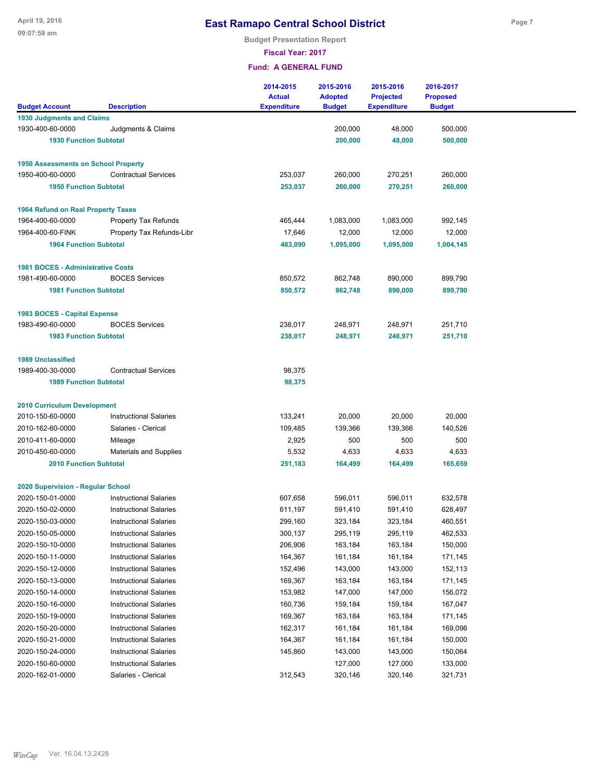**Budget Presentation Report**

**Fiscal Year: 2017**

|                                            |                               | 2014-2015<br><b>Actual</b> | 2015-2016<br><b>Adopted</b> | 2015-2016<br><b>Projected</b> | 2016-2017<br><b>Proposed</b> |  |
|--------------------------------------------|-------------------------------|----------------------------|-----------------------------|-------------------------------|------------------------------|--|
| <b>Budget Account</b>                      | <b>Description</b>            | <b>Expenditure</b>         | <b>Budget</b>               | <b>Expenditure</b>            | <b>Budget</b>                |  |
| <b>1930 Judgments and Claims</b>           |                               |                            |                             |                               |                              |  |
| 1930-400-60-0000                           | Judgments & Claims            |                            | 200,000                     | 48,000                        | 500,000                      |  |
| <b>1930 Function Subtotal</b>              |                               |                            | 200,000                     | 48,000                        | 500,000                      |  |
| <b>1950 Assessments on School Property</b> |                               |                            |                             |                               |                              |  |
| 1950-400-60-0000                           | <b>Contractual Services</b>   | 253,037                    | 260,000                     | 270,251                       | 260,000                      |  |
| <b>1950 Function Subtotal</b>              |                               | 253,037                    | 260,000                     | 270,251                       | 260,000                      |  |
| <b>1964 Refund on Real Property Taxes</b>  |                               |                            |                             |                               |                              |  |
| 1964-400-60-0000                           | Property Tax Refunds          | 465,444                    | 1,083,000                   | 1,083,000                     | 992,145                      |  |
| 1964-400-60-FINK                           | Property Tax Refunds-Libr     | 17,646                     | 12,000                      | 12,000                        | 12,000                       |  |
| <b>1964 Function Subtotal</b>              |                               | 483,090                    | 1,095,000                   | 1,095,000                     | 1,004,145                    |  |
| <b>1981 BOCES - Administrative Costs</b>   |                               |                            |                             |                               |                              |  |
| 1981-490-60-0000                           | <b>BOCES Services</b>         | 850,572                    | 862,748                     | 890,000                       | 899,790                      |  |
| <b>1981 Function Subtotal</b>              |                               | 850,572                    | 862,748                     | 890,000                       | 899,790                      |  |
| 1983 BOCES - Capital Expense               |                               |                            |                             |                               |                              |  |
| 1983-490-60-0000                           | <b>BOCES Services</b>         | 238,017                    | 248,971                     | 248,971                       | 251,710                      |  |
| <b>1983 Function Subtotal</b>              |                               | 238,017                    | 248,971                     | 248,971                       | 251,710                      |  |
| <b>1989 Unclassified</b>                   |                               |                            |                             |                               |                              |  |
| 1989-400-30-0000                           | <b>Contractual Services</b>   | 98,375                     |                             |                               |                              |  |
| <b>1989 Function Subtotal</b>              |                               | 98,375                     |                             |                               |                              |  |
| 2010 Curriculum Development                |                               |                            |                             |                               |                              |  |
| 2010-150-60-0000                           | <b>Instructional Salaries</b> | 133,241                    | 20,000                      | 20,000                        | 20,000                       |  |
| 2010-162-60-0000                           | Salaries - Clerical           | 109,485                    | 139,366                     | 139,366                       | 140,526                      |  |
| 2010-411-60-0000                           | Mileage                       | 2,925                      | 500                         | 500                           | 500                          |  |
| 2010-450-60-0000                           | <b>Materials and Supplies</b> | 5,532                      | 4,633                       | 4,633                         | 4,633                        |  |
| <b>2010 Function Subtotal</b>              |                               | 251,183                    | 164,499                     | 164,499                       | 165,659                      |  |
| 2020 Supervision - Regular School          |                               |                            |                             |                               |                              |  |
| 2020-150-01-0000                           | <b>Instructional Salaries</b> | 607,658                    | 596,011                     | 596,011                       | 632,578                      |  |
| 2020-150-02-0000                           | <b>Instructional Salaries</b> | 611,197                    | 591,410                     | 591,410                       | 628,497                      |  |
| 2020-150-03-0000                           | <b>Instructional Salaries</b> | 299,160                    | 323,184                     | 323,184                       | 460,551                      |  |
| 2020-150-05-0000                           | <b>Instructional Salaries</b> | 300,137                    | 295,119                     | 295,119                       | 462,533                      |  |
| 2020-150-10-0000                           | <b>Instructional Salaries</b> | 206,906                    | 163,184                     | 163,184                       | 150,000                      |  |
| 2020-150-11-0000                           | <b>Instructional Salaries</b> | 164,367                    | 161,184                     | 161,184                       | 171,145                      |  |
| 2020-150-12-0000                           | <b>Instructional Salaries</b> | 152,496                    | 143,000                     | 143,000                       | 152,113                      |  |
| 2020-150-13-0000                           | <b>Instructional Salaries</b> | 169,367                    | 163,184                     | 163,184                       | 171,145                      |  |
| 2020-150-14-0000                           | <b>Instructional Salaries</b> | 153,982                    | 147,000                     | 147,000                       | 156,072                      |  |
| 2020-150-16-0000                           | <b>Instructional Salaries</b> | 160,736                    | 159,184                     | 159,184                       | 167,047                      |  |
| 2020-150-19-0000                           | <b>Instructional Salaries</b> | 169,367                    | 163,184                     | 163,184                       | 171,145                      |  |
| 2020-150-20-0000                           | <b>Instructional Salaries</b> | 162,317                    | 161,184                     | 161,184                       | 169,096                      |  |
| 2020-150-21-0000                           | <b>Instructional Salaries</b> | 164,367                    | 161,184                     | 161,184                       | 150,000                      |  |
| 2020-150-24-0000                           | <b>Instructional Salaries</b> | 145,860                    | 143,000                     | 143,000                       | 150,064                      |  |
| 2020-150-60-0000                           | <b>Instructional Salaries</b> |                            | 127,000                     | 127,000                       | 133,000                      |  |
| 2020-162-01-0000                           | Salaries - Clerical           | 312,543                    | 320,146                     | 320,146                       | 321,731                      |  |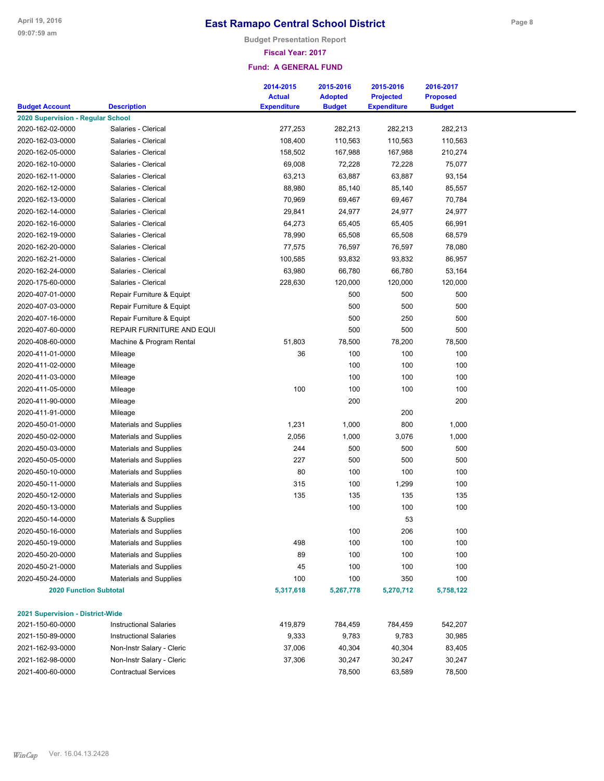**Budget Presentation Report**

#### **Fiscal Year: 2017**

| <b>Budget Account</b>                   | <b>Description</b>            | 2014-2015<br><b>Actual</b><br><b>Expenditure</b> | 2015-2016<br><b>Adopted</b><br><b>Budget</b> | 2015-2016<br><b>Projected</b><br><b>Expenditure</b> | 2016-2017<br><b>Proposed</b><br><b>Budget</b> |  |
|-----------------------------------------|-------------------------------|--------------------------------------------------|----------------------------------------------|-----------------------------------------------------|-----------------------------------------------|--|
| 2020 Supervision - Regular School       |                               |                                                  |                                              |                                                     |                                               |  |
| 2020-162-02-0000                        | Salaries - Clerical           | 277,253                                          | 282,213                                      | 282,213                                             | 282,213                                       |  |
| 2020-162-03-0000                        | Salaries - Clerical           | 108,400                                          | 110,563                                      | 110,563                                             | 110,563                                       |  |
| 2020-162-05-0000                        | Salaries - Clerical           | 158,502                                          | 167,988                                      | 167,988                                             | 210,274                                       |  |
| 2020-162-10-0000                        | Salaries - Clerical           | 69,008                                           | 72,228                                       | 72,228                                              | 75,077                                        |  |
| 2020-162-11-0000                        | Salaries - Clerical           | 63,213                                           | 63,887                                       | 63,887                                              | 93,154                                        |  |
| 2020-162-12-0000                        | Salaries - Clerical           | 88,980                                           | 85,140                                       | 85,140                                              | 85,557                                        |  |
| 2020-162-13-0000                        | Salaries - Clerical           | 70,969                                           | 69,467                                       | 69,467                                              | 70,784                                        |  |
| 2020-162-14-0000                        | Salaries - Clerical           | 29,841                                           | 24,977                                       | 24,977                                              | 24,977                                        |  |
| 2020-162-16-0000                        | Salaries - Clerical           | 64,273                                           | 65,405                                       | 65,405                                              | 66,991                                        |  |
| 2020-162-19-0000                        | Salaries - Clerical           | 78,990                                           | 65,508                                       | 65,508                                              | 68,579                                        |  |
| 2020-162-20-0000                        | Salaries - Clerical           | 77,575                                           | 76,597                                       | 76,597                                              | 78,080                                        |  |
| 2020-162-21-0000                        | Salaries - Clerical           | 100,585                                          | 93,832                                       | 93,832                                              | 86,957                                        |  |
| 2020-162-24-0000                        | Salaries - Clerical           | 63,980                                           | 66,780                                       | 66,780                                              | 53,164                                        |  |
| 2020-175-60-0000                        | Salaries - Clerical           | 228,630                                          | 120,000                                      | 120,000                                             | 120,000                                       |  |
| 2020-407-01-0000                        | Repair Furniture & Equipt     |                                                  | 500                                          | 500                                                 | 500                                           |  |
| 2020-407-03-0000                        | Repair Furniture & Equipt     |                                                  | 500                                          | 500                                                 | 500                                           |  |
| 2020-407-16-0000                        | Repair Furniture & Equipt     |                                                  | 500                                          | 250                                                 | 500                                           |  |
| 2020-407-60-0000                        | REPAIR FURNITURE AND EQUI     |                                                  | 500                                          | 500                                                 | 500                                           |  |
| 2020-408-60-0000                        | Machine & Program Rental      | 51,803                                           | 78,500                                       | 78,200                                              | 78,500                                        |  |
| 2020-411-01-0000                        | Mileage                       | 36                                               | 100                                          | 100                                                 | 100                                           |  |
| 2020-411-02-0000                        | Mileage                       |                                                  | 100                                          | 100                                                 | 100                                           |  |
| 2020-411-03-0000                        | Mileage                       |                                                  | 100                                          | 100                                                 | 100                                           |  |
| 2020-411-05-0000                        | Mileage                       | 100                                              | 100                                          | 100                                                 | 100                                           |  |
| 2020-411-90-0000                        | Mileage                       |                                                  | 200                                          |                                                     | 200                                           |  |
| 2020-411-91-0000                        | Mileage                       |                                                  |                                              | 200                                                 |                                               |  |
| 2020-450-01-0000                        | <b>Materials and Supplies</b> | 1,231                                            | 1,000                                        | 800                                                 | 1,000                                         |  |
| 2020-450-02-0000                        | <b>Materials and Supplies</b> | 2,056                                            | 1,000                                        | 3,076                                               | 1,000                                         |  |
| 2020-450-03-0000                        | <b>Materials and Supplies</b> | 244                                              | 500                                          | 500                                                 | 500                                           |  |
| 2020-450-05-0000                        | <b>Materials and Supplies</b> | 227                                              | 500                                          | 500                                                 | 500                                           |  |
| 2020-450-10-0000                        | <b>Materials and Supplies</b> | 80                                               | 100                                          | 100                                                 | 100                                           |  |
| 2020-450-11-0000                        | <b>Materials and Supplies</b> | 315                                              | 100                                          | 1,299                                               | 100                                           |  |
| 2020-450-12-0000                        | <b>Materials and Supplies</b> | 135                                              | 135                                          | 135                                                 | 135                                           |  |
| 2020-450-13-0000                        | <b>Materials and Supplies</b> |                                                  | 100                                          | 100                                                 | 100                                           |  |
| 2020-450-14-0000                        | Materials & Supplies          |                                                  |                                              | 53                                                  |                                               |  |
| 2020-450-16-0000                        | <b>Materials and Supplies</b> |                                                  | 100                                          | 206                                                 | 100                                           |  |
| 2020-450-19-0000                        | <b>Materials and Supplies</b> | 498                                              | 100                                          | 100                                                 | 100                                           |  |
| 2020-450-20-0000                        | <b>Materials and Supplies</b> | 89                                               | 100                                          | 100                                                 | 100                                           |  |
| 2020-450-21-0000                        | <b>Materials and Supplies</b> | 45                                               | 100                                          | 100                                                 | 100                                           |  |
| 2020-450-24-0000                        | <b>Materials and Supplies</b> | 100                                              | 100                                          | 350                                                 | 100                                           |  |
| <b>2020 Function Subtotal</b>           |                               | 5,317,618                                        | 5,267,778                                    | 5,270,712                                           | 5,758,122                                     |  |
|                                         |                               |                                                  |                                              |                                                     |                                               |  |
| <b>2021 Supervision - District-Wide</b> |                               |                                                  |                                              |                                                     |                                               |  |
| 2021-150-60-0000                        | <b>Instructional Salaries</b> | 419,879                                          | 784,459                                      | 784,459                                             | 542,207                                       |  |
| 2021-150-89-0000                        | <b>Instructional Salaries</b> | 9,333                                            | 9,783                                        | 9,783                                               | 30,985                                        |  |
| 2021-162-93-0000                        | Non-Instr Salary - Cleric     | 37,006                                           | 40,304                                       | 40,304                                              | 83,405                                        |  |
| 2021-162-98-0000                        | Non-Instr Salary - Cleric     | 37,306                                           | 30,247                                       | 30,247                                              | 30,247                                        |  |
| 2021-400-60-0000                        | <b>Contractual Services</b>   |                                                  | 78,500                                       | 63,589                                              | 78,500                                        |  |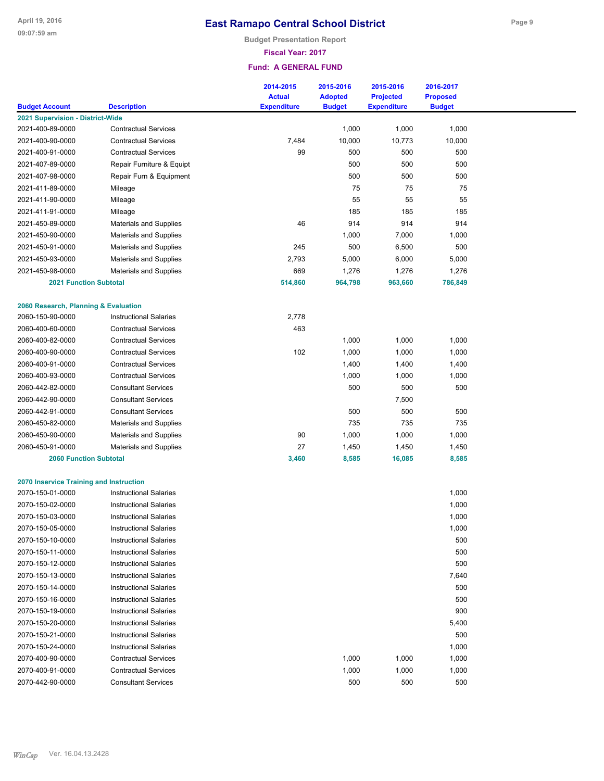**Budget Presentation Report**

### **Fiscal Year: 2017**

|                                         |                               | 2014-2015<br><b>Actual</b> | 2015-2016<br><b>Adopted</b> | 2015-2016<br><b>Projected</b> | 2016-2017<br><b>Proposed</b> |  |
|-----------------------------------------|-------------------------------|----------------------------|-----------------------------|-------------------------------|------------------------------|--|
| <b>Budget Account</b>                   | <b>Description</b>            | <b>Expenditure</b>         | <b>Budget</b>               | <b>Expenditure</b>            | <b>Budget</b>                |  |
| 2021 Supervision - District-Wide        |                               |                            |                             |                               |                              |  |
| 2021-400-89-0000                        | <b>Contractual Services</b>   |                            | 1,000                       | 1,000                         | 1,000                        |  |
| 2021-400-90-0000                        | <b>Contractual Services</b>   | 7,484                      | 10,000                      | 10,773                        | 10,000                       |  |
| 2021-400-91-0000                        | <b>Contractual Services</b>   | 99                         | 500                         | 500                           | 500                          |  |
| 2021-407-89-0000                        | Repair Furniture & Equipt     |                            | 500                         | 500                           | 500                          |  |
| 2021-407-98-0000                        | Repair Furn & Equipment       |                            | 500                         | 500                           | 500                          |  |
| 2021-411-89-0000                        | Mileage                       |                            | 75                          | 75                            | 75                           |  |
| 2021-411-90-0000                        | Mileage                       |                            | 55                          | 55                            | 55                           |  |
| 2021-411-91-0000                        | Mileage                       |                            | 185                         | 185                           | 185                          |  |
| 2021-450-89-0000                        | Materials and Supplies        | 46                         | 914                         | 914                           | 914                          |  |
| 2021-450-90-0000                        | <b>Materials and Supplies</b> |                            | 1,000                       | 7,000                         | 1,000                        |  |
| 2021-450-91-0000                        | <b>Materials and Supplies</b> | 245                        | 500                         | 6,500                         | 500                          |  |
| 2021-450-93-0000                        | <b>Materials and Supplies</b> | 2,793                      | 5,000                       | 6,000                         | 5,000                        |  |
| 2021-450-98-0000                        | <b>Materials and Supplies</b> | 669                        | 1,276                       | 1,276                         | 1,276                        |  |
| <b>2021 Function Subtotal</b>           |                               | 514,860                    | 964,798                     | 963,660                       | 786,849                      |  |
|                                         |                               |                            |                             |                               |                              |  |
| 2060 Research, Planning & Evaluation    |                               |                            |                             |                               |                              |  |
| 2060-150-90-0000                        | <b>Instructional Salaries</b> | 2,778                      |                             |                               |                              |  |
| 2060-400-60-0000                        | <b>Contractual Services</b>   | 463                        |                             |                               |                              |  |
| 2060-400-82-0000                        | <b>Contractual Services</b>   |                            | 1,000                       | 1,000                         | 1,000                        |  |
| 2060-400-90-0000                        | <b>Contractual Services</b>   | 102                        | 1,000                       | 1,000                         | 1,000                        |  |
| 2060-400-91-0000                        | <b>Contractual Services</b>   |                            | 1,400                       | 1,400                         | 1,400                        |  |
| 2060-400-93-0000                        | <b>Contractual Services</b>   |                            | 1,000                       | 1,000                         | 1,000                        |  |
| 2060-442-82-0000                        | <b>Consultant Services</b>    |                            | 500                         | 500                           | 500                          |  |
| 2060-442-90-0000                        | <b>Consultant Services</b>    |                            |                             | 7,500                         |                              |  |
| 2060-442-91-0000                        | <b>Consultant Services</b>    |                            | 500                         | 500                           | 500                          |  |
| 2060-450-82-0000                        | <b>Materials and Supplies</b> |                            | 735                         | 735                           | 735                          |  |
| 2060-450-90-0000                        | <b>Materials and Supplies</b> | 90                         | 1,000                       | 1,000                         | 1,000                        |  |
| 2060-450-91-0000                        | <b>Materials and Supplies</b> | 27                         | 1,450                       | 1,450                         | 1,450                        |  |
| <b>2060 Function Subtotal</b>           |                               | 3,460                      | 8,585                       | 16,085                        | 8,585                        |  |
| 2070 Inservice Training and Instruction |                               |                            |                             |                               |                              |  |
| 2070-150-01-0000                        | <b>Instructional Salaries</b> |                            |                             |                               | 1,000                        |  |
| 2070-150-02-0000                        | <b>Instructional Salaries</b> |                            |                             |                               | 1,000                        |  |
| 2070-150-03-0000                        | <b>Instructional Salaries</b> |                            |                             |                               | 1,000                        |  |
| 2070-150-05-0000                        | <b>Instructional Salaries</b> |                            |                             |                               | 1,000                        |  |
| 2070-150-10-0000                        | <b>Instructional Salaries</b> |                            |                             |                               | 500                          |  |
| 2070-150-11-0000                        | <b>Instructional Salaries</b> |                            |                             |                               | 500                          |  |
| 2070-150-12-0000                        | <b>Instructional Salaries</b> |                            |                             |                               | 500                          |  |
| 2070-150-13-0000                        | <b>Instructional Salaries</b> |                            |                             |                               | 7,640                        |  |
| 2070-150-14-0000                        | <b>Instructional Salaries</b> |                            |                             |                               | 500                          |  |
| 2070-150-16-0000                        | <b>Instructional Salaries</b> |                            |                             |                               | 500                          |  |
| 2070-150-19-0000                        | <b>Instructional Salaries</b> |                            |                             |                               | 900                          |  |
| 2070-150-20-0000                        | <b>Instructional Salaries</b> |                            |                             |                               | 5,400                        |  |
| 2070-150-21-0000                        | <b>Instructional Salaries</b> |                            |                             |                               | 500                          |  |
| 2070-150-24-0000                        | <b>Instructional Salaries</b> |                            |                             |                               | 1,000                        |  |
| 2070-400-90-0000                        | <b>Contractual Services</b>   |                            | 1,000                       | 1,000                         | 1,000                        |  |
| 2070-400-91-0000                        | <b>Contractual Services</b>   |                            | 1,000                       | 1,000                         | 1,000                        |  |
| 2070-442-90-0000                        | <b>Consultant Services</b>    |                            | 500                         | 500                           | 500                          |  |
|                                         |                               |                            |                             |                               |                              |  |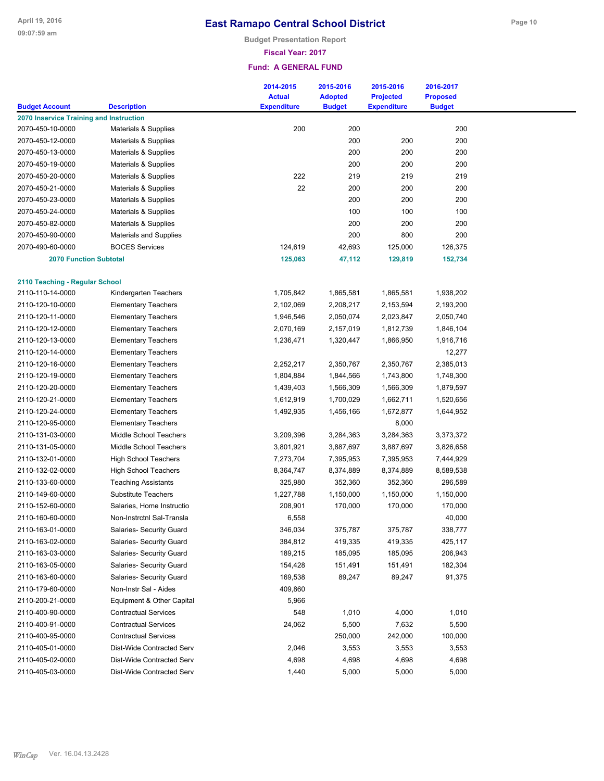**Budget Presentation Report**

### **Fiscal Year: 2017**

|                                         |                                                          | 2014-2015<br><b>Actual</b> | 2015-2016<br><b>Adopted</b> | 2015-2016<br><b>Projected</b> | 2016-2017<br><b>Proposed</b> |  |
|-----------------------------------------|----------------------------------------------------------|----------------------------|-----------------------------|-------------------------------|------------------------------|--|
| <b>Budget Account</b>                   | <b>Description</b>                                       | <b>Expenditure</b>         | <b>Budget</b>               | <b>Expenditure</b>            | <b>Budget</b>                |  |
| 2070 Inservice Training and Instruction |                                                          |                            |                             |                               |                              |  |
| 2070-450-10-0000                        | Materials & Supplies                                     | 200                        | 200                         |                               | 200                          |  |
| 2070-450-12-0000                        | Materials & Supplies                                     |                            | 200                         | 200                           | 200                          |  |
| 2070-450-13-0000                        | Materials & Supplies                                     |                            | 200                         | 200                           | 200                          |  |
| 2070-450-19-0000                        | Materials & Supplies                                     |                            | 200                         | 200                           | 200                          |  |
| 2070-450-20-0000                        | Materials & Supplies                                     | 222                        | 219                         | 219                           | 219                          |  |
| 2070-450-21-0000                        | Materials & Supplies                                     | 22                         | 200                         | 200                           | 200                          |  |
| 2070-450-23-0000                        | Materials & Supplies                                     |                            | 200                         | 200                           | 200                          |  |
| 2070-450-24-0000                        | Materials & Supplies                                     |                            | 100                         | 100                           | 100                          |  |
| 2070-450-82-0000                        | Materials & Supplies                                     |                            | 200                         | 200                           | 200                          |  |
| 2070-450-90-0000                        | <b>Materials and Supplies</b>                            |                            | 200                         | 800                           | 200                          |  |
| 2070-490-60-0000                        | <b>BOCES Services</b>                                    | 124,619                    | 42,693                      | 125,000                       | 126,375                      |  |
| <b>2070 Function Subtotal</b>           |                                                          | 125,063                    | 47,112                      | 129,819                       | 152,734                      |  |
| 2110 Teaching - Regular School          |                                                          |                            |                             |                               |                              |  |
| 2110-110-14-0000                        | Kindergarten Teachers                                    | 1,705,842                  | 1,865,581                   | 1,865,581                     | 1,938,202                    |  |
| 2110-120-10-0000                        | <b>Elementary Teachers</b>                               | 2,102,069                  | 2,208,217                   | 2,153,594                     | 2,193,200                    |  |
| 2110-120-11-0000                        | <b>Elementary Teachers</b>                               | 1,946,546                  | 2,050,074                   | 2,023,847                     | 2,050,740                    |  |
| 2110-120-12-0000                        | <b>Elementary Teachers</b>                               | 2,070,169                  | 2,157,019                   | 1,812,739                     | 1,846,104                    |  |
| 2110-120-13-0000                        | <b>Elementary Teachers</b>                               | 1,236,471                  | 1,320,447                   | 1,866,950                     | 1,916,716                    |  |
| 2110-120-14-0000                        | <b>Elementary Teachers</b>                               |                            |                             |                               | 12,277                       |  |
| 2110-120-16-0000                        | <b>Elementary Teachers</b>                               | 2,252,217                  | 2,350,767                   | 2,350,767                     | 2,385,013                    |  |
| 2110-120-19-0000                        | <b>Elementary Teachers</b>                               | 1,804,884                  | 1,844,566                   | 1,743,800                     | 1,748,300                    |  |
| 2110-120-20-0000                        | <b>Elementary Teachers</b>                               | 1,439,403                  | 1,566,309                   | 1,566,309                     | 1,879,597                    |  |
| 2110-120-21-0000                        | <b>Elementary Teachers</b>                               | 1,612,919                  | 1,700,029                   | 1,662,711                     | 1,520,656                    |  |
| 2110-120-24-0000                        | <b>Elementary Teachers</b>                               | 1,492,935                  | 1,456,166                   | 1,672,877                     | 1,644,952                    |  |
| 2110-120-95-0000                        | <b>Elementary Teachers</b>                               |                            |                             | 8,000                         |                              |  |
| 2110-131-03-0000                        | Middle School Teachers                                   | 3,209,396                  | 3,284,363                   | 3,284,363                     | 3,373,372                    |  |
| 2110-131-05-0000                        | Middle School Teachers                                   | 3,801,921                  | 3,887,697                   | 3,887,697                     | 3,826,658                    |  |
| 2110-132-01-0000                        | <b>High School Teachers</b>                              | 7,273,704                  |                             | 7,395,953                     | 7,444,929                    |  |
| 2110-132-02-0000                        |                                                          |                            | 7,395,953                   |                               | 8,589,538                    |  |
|                                         | High School Teachers                                     | 8,364,747                  | 8,374,889                   | 8,374,889                     |                              |  |
| 2110-133-60-0000                        | <b>Teaching Assistants</b><br><b>Substitute Teachers</b> | 325,980                    | 352,360<br>1,150,000        | 352,360                       | 296,589                      |  |
| 2110-149-60-0000                        |                                                          | 1,227,788<br>208,901       |                             | 1,150,000                     | 1,150,000<br>170,000         |  |
| 2110-152-60-0000                        | Salaries, Home Instructio                                |                            | 170,000                     | 170,000                       |                              |  |
| 2110-160-60-0000<br>2110-163-01-0000    | Non-Instrctnl Sal-Transla<br>Salaries- Security Guard    | 6,558                      |                             |                               | 40,000                       |  |
|                                         |                                                          | 346,034                    | 375,787                     | 375,787                       | 338,777                      |  |
| 2110-163-02-0000                        | Salaries- Security Guard                                 | 384,812                    | 419,335                     | 419,335                       | 425,117                      |  |
| 2110-163-03-0000                        | Salaries- Security Guard                                 | 189,215                    | 185,095                     | 185,095                       | 206,943                      |  |
| 2110-163-05-0000                        | Salaries- Security Guard                                 | 154,428                    | 151,491                     | 151,491                       | 182,304                      |  |
| 2110-163-60-0000                        | Salaries- Security Guard                                 | 169,538                    | 89,247                      | 89,247                        | 91,375                       |  |
| 2110-179-60-0000                        | Non-Instr Sal - Aides                                    | 409,860                    |                             |                               |                              |  |
| 2110-200-21-0000                        | Equipment & Other Capital                                | 5,966                      |                             |                               |                              |  |
| 2110-400-90-0000                        | <b>Contractual Services</b>                              | 548                        | 1,010                       | 4,000                         | 1,010                        |  |
| 2110-400-91-0000                        | <b>Contractual Services</b>                              | 24,062                     | 5,500                       | 7,632                         | 5,500                        |  |
| 2110-400-95-0000                        | <b>Contractual Services</b>                              |                            | 250,000                     | 242,000                       | 100,000                      |  |
| 2110-405-01-0000                        | Dist-Wide Contracted Serv                                | 2,046                      | 3,553                       | 3,553                         | 3,553                        |  |
| 2110-405-02-0000                        | Dist-Wide Contracted Serv                                | 4,698                      | 4,698                       | 4,698                         | 4,698                        |  |
| 2110-405-03-0000                        | Dist-Wide Contracted Serv                                | 1,440                      | 5,000                       | 5,000                         | 5,000                        |  |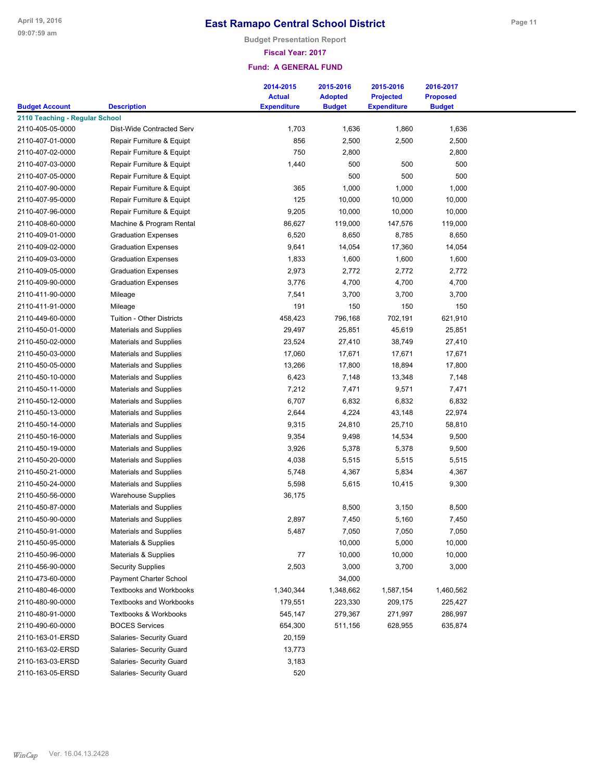**Budget Presentation Report**

### **Fiscal Year: 2017**

| <b>Budget Account</b>          | <b>Description</b>                                       | 2014-2015<br><b>Actual</b><br><b>Expenditure</b> | 2015-2016<br><b>Adopted</b><br><b>Budget</b> | 2015-2016<br><b>Projected</b><br><b>Expenditure</b> | 2016-2017<br><b>Proposed</b><br><b>Budget</b> |  |
|--------------------------------|----------------------------------------------------------|--------------------------------------------------|----------------------------------------------|-----------------------------------------------------|-----------------------------------------------|--|
| 2110 Teaching - Regular School |                                                          |                                                  |                                              |                                                     |                                               |  |
| 2110-405-05-0000               | Dist-Wide Contracted Serv                                | 1,703                                            | 1,636                                        | 1,860                                               | 1,636                                         |  |
| 2110-407-01-0000               | Repair Furniture & Equipt                                | 856                                              | 2,500                                        | 2,500                                               | 2,500                                         |  |
| 2110-407-02-0000               | Repair Furniture & Equipt                                | 750                                              | 2,800                                        |                                                     | 2,800                                         |  |
| 2110-407-03-0000               | Repair Furniture & Equipt                                | 1,440                                            | 500                                          | 500                                                 | 500                                           |  |
| 2110-407-05-0000               | Repair Furniture & Equipt                                |                                                  | 500                                          | 500                                                 | 500                                           |  |
| 2110-407-90-0000               | Repair Furniture & Equipt                                | 365                                              | 1,000                                        | 1,000                                               | 1,000                                         |  |
| 2110-407-95-0000               | Repair Furniture & Equipt                                | 125                                              | 10,000                                       | 10,000                                              | 10,000                                        |  |
| 2110-407-96-0000               | Repair Furniture & Equipt                                | 9,205                                            | 10,000                                       | 10,000                                              | 10,000                                        |  |
| 2110-408-60-0000               | Machine & Program Rental                                 | 86,627                                           | 119,000                                      | 147,576                                             | 119,000                                       |  |
| 2110-409-01-0000               | <b>Graduation Expenses</b>                               | 6,520                                            | 8,650                                        | 8,785                                               | 8,650                                         |  |
| 2110-409-02-0000               | <b>Graduation Expenses</b>                               | 9,641                                            | 14,054                                       | 17,360                                              | 14,054                                        |  |
| 2110-409-03-0000               | <b>Graduation Expenses</b>                               |                                                  |                                              |                                                     |                                               |  |
| 2110-409-05-0000               |                                                          | 1,833                                            | 1,600<br>2,772                               | 1,600                                               | 1,600<br>2,772                                |  |
| 2110-409-90-0000               | <b>Graduation Expenses</b><br><b>Graduation Expenses</b> | 2,973                                            |                                              | 2,772                                               |                                               |  |
| 2110-411-90-0000               |                                                          | 3,776                                            | 4,700                                        | 4,700                                               | 4,700                                         |  |
|                                | Mileage                                                  | 7,541                                            | 3,700                                        | 3,700                                               | 3,700                                         |  |
| 2110-411-91-0000               | Mileage                                                  | 191                                              | 150                                          | 150                                                 | 150                                           |  |
| 2110-449-60-0000               | <b>Tuition - Other Districts</b>                         | 458,423                                          | 796,168                                      | 702,191                                             | 621,910                                       |  |
| 2110-450-01-0000               | <b>Materials and Supplies</b>                            | 29,497                                           | 25,851                                       | 45,619                                              | 25,851                                        |  |
| 2110-450-02-0000               | <b>Materials and Supplies</b>                            | 23,524                                           | 27,410                                       | 38,749                                              | 27,410                                        |  |
| 2110-450-03-0000               | <b>Materials and Supplies</b>                            | 17,060                                           | 17,671                                       | 17,671                                              | 17,671                                        |  |
| 2110-450-05-0000               | <b>Materials and Supplies</b>                            | 13,266                                           | 17,800                                       | 18,894                                              | 17,800                                        |  |
| 2110-450-10-0000               | <b>Materials and Supplies</b>                            | 6,423                                            | 7,148                                        | 13,348                                              | 7,148                                         |  |
| 2110-450-11-0000               | <b>Materials and Supplies</b>                            | 7,212                                            | 7,471                                        | 9,571                                               | 7,471                                         |  |
| 2110-450-12-0000               | <b>Materials and Supplies</b>                            | 6,707                                            | 6,832                                        | 6,832                                               | 6,832                                         |  |
| 2110-450-13-0000               | <b>Materials and Supplies</b>                            | 2,644                                            | 4,224                                        | 43,148                                              | 22,974                                        |  |
| 2110-450-14-0000               | <b>Materials and Supplies</b>                            | 9,315                                            | 24,810                                       | 25,710                                              | 58,810                                        |  |
| 2110-450-16-0000               | <b>Materials and Supplies</b>                            | 9,354                                            | 9,498                                        | 14,534                                              | 9,500                                         |  |
| 2110-450-19-0000               | <b>Materials and Supplies</b>                            | 3,926                                            | 5,378                                        | 5,378                                               | 9,500                                         |  |
| 2110-450-20-0000               | <b>Materials and Supplies</b>                            | 4,038                                            | 5,515                                        | 5,515                                               | 5,515                                         |  |
| 2110-450-21-0000               | <b>Materials and Supplies</b>                            | 5,748                                            | 4,367                                        | 5,834                                               | 4,367                                         |  |
| 2110-450-24-0000               | <b>Materials and Supplies</b>                            | 5,598                                            | 5,615                                        | 10,415                                              | 9,300                                         |  |
| 2110-450-56-0000               | <b>Warehouse Supplies</b>                                | 36,175                                           |                                              |                                                     |                                               |  |
| 2110-450-87-0000               | <b>Materials and Supplies</b>                            |                                                  | 8,500                                        | 3,150                                               | 8,500                                         |  |
| 2110-450-90-0000               | <b>Materials and Supplies</b>                            | 2,897                                            | 7,450                                        | 5,160                                               | 7,450                                         |  |
| 2110-450-91-0000               | <b>Materials and Supplies</b>                            | 5,487                                            | 7,050                                        | 7,050                                               | 7,050                                         |  |
| 2110-450-95-0000               | Materials & Supplies                                     |                                                  | 10,000                                       | 5,000                                               | 10,000                                        |  |
| 2110-450-96-0000               | Materials & Supplies                                     | 77                                               | 10,000                                       | 10,000                                              | 10,000                                        |  |
| 2110-456-90-0000               | <b>Security Supplies</b>                                 | 2,503                                            | 3,000                                        | 3,700                                               | 3,000                                         |  |
| 2110-473-60-0000               | Payment Charter School                                   |                                                  | 34,000                                       |                                                     |                                               |  |
| 2110-480-46-0000               | <b>Textbooks and Workbooks</b>                           | 1,340,344                                        | 1,348,662                                    | 1,587,154                                           | 1,460,562                                     |  |
| 2110-480-90-0000               | <b>Textbooks and Workbooks</b>                           | 179,551                                          | 223,330                                      | 209,175                                             | 225,427                                       |  |
| 2110-480-91-0000               | <b>Textbooks &amp; Workbooks</b>                         | 545,147                                          | 279,367                                      | 271,997                                             | 286,997                                       |  |
| 2110-490-60-0000               | <b>BOCES Services</b>                                    | 654,300                                          | 511,156                                      | 628,955                                             | 635,874                                       |  |
| 2110-163-01-ERSD               | Salaries- Security Guard                                 | 20,159                                           |                                              |                                                     |                                               |  |
| 2110-163-02-ERSD               | Salaries- Security Guard                                 | 13,773                                           |                                              |                                                     |                                               |  |
| 2110-163-03-ERSD               | Salaries- Security Guard                                 | 3,183                                            |                                              |                                                     |                                               |  |
| 2110-163-05-ERSD               | Salaries- Security Guard                                 | 520                                              |                                              |                                                     |                                               |  |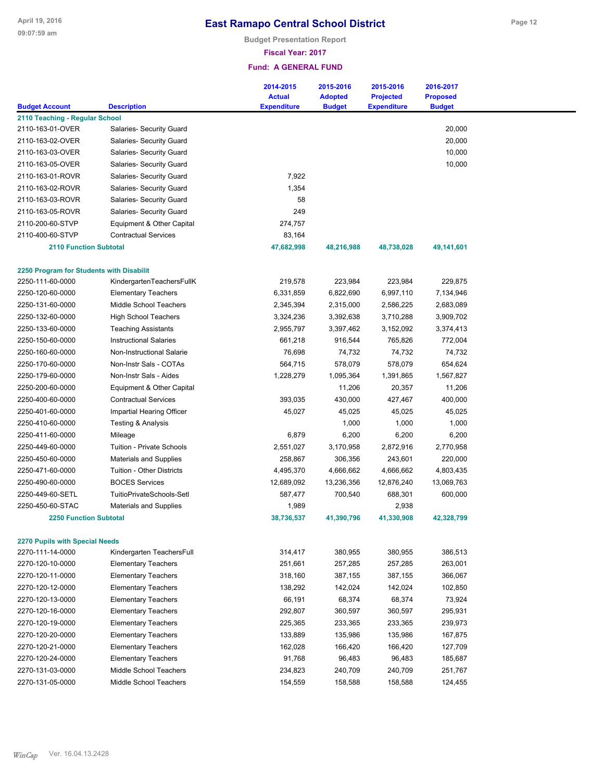**Budget Presentation Report**

**Fiscal Year: 2017**

|                                          |                                  | 2014-2015          | 2015-2016      | 2015-2016          | 2016-2017       |
|------------------------------------------|----------------------------------|--------------------|----------------|--------------------|-----------------|
|                                          |                                  | <b>Actual</b>      | <b>Adopted</b> | <b>Projected</b>   | <b>Proposed</b> |
| <b>Budget Account</b>                    | <b>Description</b>               | <b>Expenditure</b> | <b>Budget</b>  | <b>Expenditure</b> | <b>Budget</b>   |
| 2110 Teaching - Regular School           |                                  |                    |                |                    |                 |
| 2110-163-01-OVER                         | Salaries- Security Guard         |                    |                |                    | 20,000          |
| 2110-163-02-OVER                         | Salaries- Security Guard         |                    |                |                    | 20,000          |
| 2110-163-03-OVER                         | Salaries- Security Guard         |                    |                |                    | 10,000          |
| 2110-163-05-OVER                         | Salaries- Security Guard         |                    |                |                    | 10,000          |
| 2110-163-01-ROVR                         | Salaries- Security Guard         | 7,922              |                |                    |                 |
| 2110-163-02-ROVR                         | Salaries- Security Guard         | 1,354              |                |                    |                 |
| 2110-163-03-ROVR                         | Salaries- Security Guard         | 58                 |                |                    |                 |
| 2110-163-05-ROVR                         | Salaries- Security Guard         | 249                |                |                    |                 |
| 2110-200-60-STVP                         | Equipment & Other Capital        | 274,757            |                |                    |                 |
| 2110-400-60-STVP                         | <b>Contractual Services</b>      | 83,164             |                |                    |                 |
| <b>2110 Function Subtotal</b>            |                                  | 47,682,998         | 48,216,988     | 48,738,028         | 49,141,601      |
| 2250 Program for Students with Disabilit |                                  |                    |                |                    |                 |
| 2250-111-60-0000                         | KindergartenTeachersFullK        | 219,578            | 223,984        | 223,984            | 229,875         |
| 2250-120-60-0000                         | <b>Elementary Teachers</b>       | 6,331,859          | 6,822,690      | 6,997,110          | 7,134,946       |
| 2250-131-60-0000                         | Middle School Teachers           | 2,345,394          | 2,315,000      | 2,586,225          | 2,683,089       |
| 2250-132-60-0000                         | <b>High School Teachers</b>      | 3,324,236          | 3,392,638      | 3,710,288          | 3,909,702       |
| 2250-133-60-0000                         | <b>Teaching Assistants</b>       | 2,955,797          | 3,397,462      | 3,152,092          | 3,374,413       |
| 2250-150-60-0000                         | <b>Instructional Salaries</b>    | 661,218            | 916,544        | 765,826            | 772,004         |
| 2250-160-60-0000                         | Non-Instructional Salarie        | 76,698             | 74,732         | 74,732             | 74,732          |
| 2250-170-60-0000                         | Non-Instr Sals - COTAs           | 564,715            | 578,079        | 578,079            | 654,624         |
| 2250-179-60-0000                         | Non-Instr Sals - Aides           | 1,228,279          | 1,095,364      | 1,391,865          | 1,567,827       |
| 2250-200-60-0000                         | Equipment & Other Capital        |                    | 11,206         | 20,357             | 11,206          |
| 2250-400-60-0000                         | <b>Contractual Services</b>      | 393,035            | 430,000        | 427,467            | 400,000         |
| 2250-401-60-0000                         | Impartial Hearing Officer        | 45,027             | 45,025         | 45,025             | 45,025          |
| 2250-410-60-0000                         | <b>Testing &amp; Analysis</b>    |                    | 1,000          | 1,000              | 1,000           |
| 2250-411-60-0000                         | Mileage                          | 6,879              | 6,200          | 6,200              | 6,200           |
| 2250-449-60-0000                         | <b>Tuition - Private Schools</b> | 2,551,027          | 3,170,958      | 2,872,916          | 2,770,958       |
| 2250-450-60-0000                         | <b>Materials and Supplies</b>    | 258,867            | 306,356        | 243,601            | 220,000         |
| 2250-471-60-0000                         | <b>Tuition - Other Districts</b> | 4,495,370          | 4,666,662      | 4,666,662          | 4,803,435       |
| 2250-490-60-0000                         | <b>BOCES Services</b>            | 12,689,092         | 13,236,356     | 12,876,240         | 13,069,763      |
| 2250-449-60-SETL                         | TuitioPrivateSchools-Setl        | 587,477            | 700,540        | 688,301            | 600,000         |
| 2250-450-60-STAC                         | <b>Materials and Supplies</b>    | 1,989              |                | 2,938              |                 |
| <b>2250 Function Subtotal</b>            |                                  | 38,736,537         | 41,390,796     | 41,330,908         | 42,328,799      |
| <b>2270 Pupils with Special Needs</b>    |                                  |                    |                |                    |                 |
| 2270-111-14-0000                         | Kindergarten TeachersFull        | 314,417            | 380,955        | 380,955            | 386,513         |
| 2270-120-10-0000                         | <b>Elementary Teachers</b>       | 251,661            | 257,285        | 257,285            | 263,001         |
| 2270-120-11-0000                         | <b>Elementary Teachers</b>       | 318,160            | 387,155        | 387,155            | 366,067         |
| 2270-120-12-0000                         | <b>Elementary Teachers</b>       | 138,292            | 142,024        | 142,024            | 102,850         |
| 2270-120-13-0000                         | <b>Elementary Teachers</b>       | 66,191             | 68,374         | 68,374             | 73,924          |
| 2270-120-16-0000                         | <b>Elementary Teachers</b>       | 292,807            | 360,597        | 360,597            | 295,931         |
| 2270-120-19-0000                         | <b>Elementary Teachers</b>       | 225,365            | 233,365        | 233,365            | 239,973         |
| 2270-120-20-0000                         | <b>Elementary Teachers</b>       | 133,889            | 135,986        | 135,986            | 167,875         |
| 2270-120-21-0000                         | <b>Elementary Teachers</b>       | 162,028            | 166,420        | 166,420            | 127,709         |
| 2270-120-24-0000                         | <b>Elementary Teachers</b>       | 91,768             | 96,483         | 96,483             | 185,687         |
| 2270-131-03-0000                         | Middle School Teachers           | 234,823            | 240,709        | 240,709            | 251,767         |
| 2270-131-05-0000                         | Middle School Teachers           | 154,559            | 158,588        | 158,588            | 124,455         |
|                                          |                                  |                    |                |                    |                 |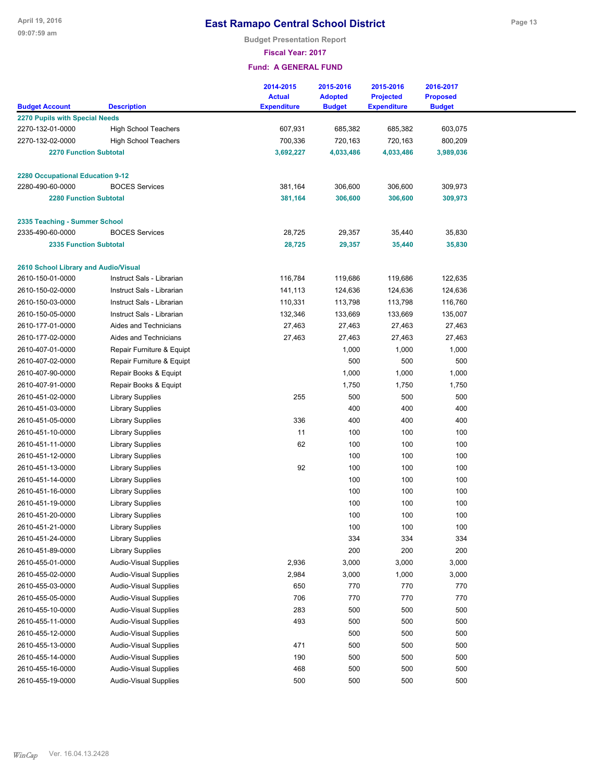**Budget Presentation Report**

**Fiscal Year: 2017**

|                                         |                                             | 2014-2015<br><b>Actual</b> | 2015-2016<br><b>Adopted</b> | 2015-2016<br><b>Projected</b> | 2016-2017<br><b>Proposed</b> |  |
|-----------------------------------------|---------------------------------------------|----------------------------|-----------------------------|-------------------------------|------------------------------|--|
| <b>Budget Account</b>                   | <b>Description</b>                          | <b>Expenditure</b>         | <b>Budget</b>               | <b>Expenditure</b>            | <b>Budget</b>                |  |
| 2270 Pupils with Special Needs          |                                             |                            |                             |                               |                              |  |
| 2270-132-01-0000                        | <b>High School Teachers</b>                 | 607,931                    | 685,382                     | 685,382                       | 603,075                      |  |
| 2270-132-02-0000                        | <b>High School Teachers</b>                 | 700,336                    | 720,163                     | 720,163                       | 800,209                      |  |
| <b>2270 Function Subtotal</b>           |                                             | 3,692,227                  | 4,033,486                   | 4,033,486                     | 3,989,036                    |  |
| <b>2280 Occupational Education 9-12</b> |                                             |                            |                             |                               |                              |  |
| 2280-490-60-0000                        | <b>BOCES Services</b>                       | 381,164                    | 306,600                     | 306,600                       | 309,973                      |  |
| <b>2280 Function Subtotal</b>           |                                             | 381,164                    | 306,600                     | 306,600                       | 309,973                      |  |
| 2335 Teaching - Summer School           |                                             |                            |                             |                               |                              |  |
| 2335-490-60-0000                        | <b>BOCES Services</b>                       | 28,725                     | 29,357                      | 35,440                        | 35,830                       |  |
| <b>2335 Function Subtotal</b>           |                                             | 28,725                     | 29,357                      | 35,440                        | 35,830                       |  |
|                                         |                                             |                            |                             |                               |                              |  |
| 2610 School Library and Audio/Visual    |                                             |                            |                             |                               |                              |  |
| 2610-150-01-0000                        | Instruct Sals - Librarian                   | 116,784                    | 119,686                     | 119,686                       | 122,635                      |  |
| 2610-150-02-0000                        | Instruct Sals - Librarian                   | 141,113                    | 124,636                     | 124,636                       | 124,636                      |  |
| 2610-150-03-0000                        | Instruct Sals - Librarian                   | 110,331                    | 113,798                     | 113,798                       | 116,760                      |  |
| 2610-150-05-0000                        | Instruct Sals - Librarian                   | 132,346                    | 133,669                     | 133,669                       | 135,007                      |  |
| 2610-177-01-0000                        | Aides and Technicians                       | 27,463                     | 27,463                      | 27,463                        | 27,463                       |  |
| 2610-177-02-0000                        | Aides and Technicians                       | 27,463                     | 27,463                      | 27,463                        | 27,463                       |  |
| 2610-407-01-0000                        | Repair Furniture & Equipt                   |                            | 1,000                       | 1,000                         | 1,000                        |  |
| 2610-407-02-0000                        | Repair Furniture & Equipt                   |                            | 500                         | 500                           | 500                          |  |
| 2610-407-90-0000                        | Repair Books & Equipt                       |                            | 1,000                       | 1,000                         | 1,000                        |  |
| 2610-407-91-0000                        | Repair Books & Equipt                       |                            | 1,750                       | 1,750                         | 1,750                        |  |
| 2610-451-02-0000                        | <b>Library Supplies</b>                     | 255                        | 500                         | 500                           | 500                          |  |
| 2610-451-03-0000                        | <b>Library Supplies</b>                     |                            | 400                         | 400                           | 400                          |  |
| 2610-451-05-0000                        | <b>Library Supplies</b>                     | 336                        | 400                         | 400                           | 400                          |  |
| 2610-451-10-0000                        | <b>Library Supplies</b>                     | 11                         | 100                         | 100                           | 100                          |  |
| 2610-451-11-0000                        | <b>Library Supplies</b>                     | 62                         | 100                         | 100                           | 100                          |  |
| 2610-451-12-0000                        | <b>Library Supplies</b>                     |                            | 100                         | 100                           | 100                          |  |
| 2610-451-13-0000                        | <b>Library Supplies</b>                     | 92                         | 100                         | 100                           | 100                          |  |
| 2610-451-14-0000                        | <b>Library Supplies</b>                     |                            | 100                         | 100                           | 100                          |  |
| 2610-451-16-0000                        | <b>Library Supplies</b>                     |                            | 100                         | 100<br>100                    | 100<br>100                   |  |
| 2610-451-19-0000                        | <b>Library Supplies</b>                     |                            | 100<br>100                  | 100                           | 100                          |  |
| 2610-451-20-0000<br>2610-451-21-0000    | <b>Library Supplies</b><br>Library Supplies |                            | 100                         | 100                           | 100                          |  |
| 2610-451-24-0000                        | <b>Library Supplies</b>                     |                            | 334                         | 334                           | 334                          |  |
| 2610-451-89-0000                        | <b>Library Supplies</b>                     |                            | 200                         | 200                           | 200                          |  |
| 2610-455-01-0000                        | <b>Audio-Visual Supplies</b>                | 2,936                      | 3,000                       | 3,000                         | 3,000                        |  |
| 2610-455-02-0000                        | <b>Audio-Visual Supplies</b>                | 2,984                      | 3,000                       | 1,000                         | 3,000                        |  |
| 2610-455-03-0000                        | <b>Audio-Visual Supplies</b>                | 650                        | 770                         | 770                           | 770                          |  |
| 2610-455-05-0000                        | <b>Audio-Visual Supplies</b>                | 706                        | 770                         | 770                           | 770                          |  |
| 2610-455-10-0000                        | <b>Audio-Visual Supplies</b>                | 283                        | 500                         | 500                           | 500                          |  |
| 2610-455-11-0000                        | <b>Audio-Visual Supplies</b>                | 493                        | 500                         | 500                           | 500                          |  |
| 2610-455-12-0000                        | <b>Audio-Visual Supplies</b>                |                            | 500                         | 500                           | 500                          |  |
| 2610-455-13-0000                        | <b>Audio-Visual Supplies</b>                | 471                        | 500                         | 500                           | 500                          |  |
| 2610-455-14-0000                        | <b>Audio-Visual Supplies</b>                | 190                        | 500                         | 500                           | 500                          |  |
| 2610-455-16-0000                        | <b>Audio-Visual Supplies</b>                | 468                        | 500                         | 500                           | 500                          |  |
| 2610-455-19-0000                        | Audio-Visual Supplies                       | 500                        | 500                         | 500                           | 500                          |  |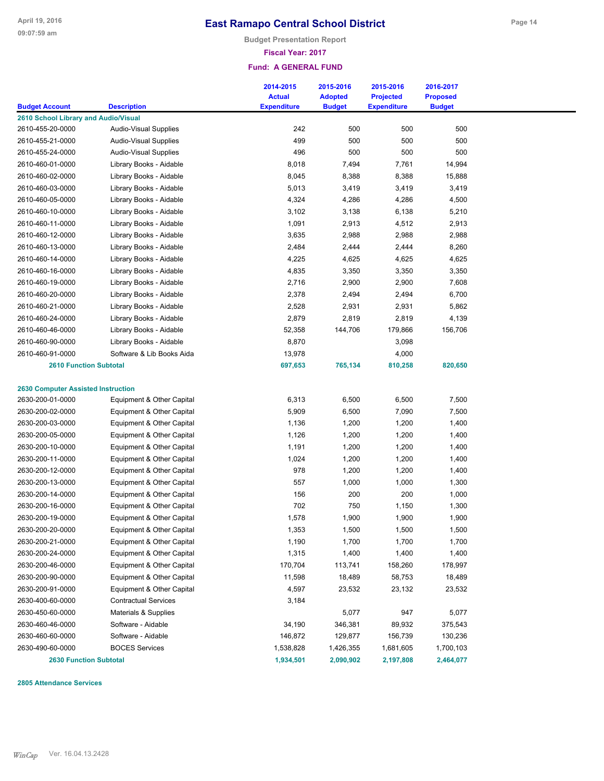**Budget Presentation Report**

#### **Fiscal Year: 2017**

#### **Fund: A GENERAL FUND**

| <b>Budget Account</b>                     | <b>Description</b>           | 2014-2015<br><b>Actual</b><br><b>Expenditure</b> | 2015-2016<br><b>Adopted</b><br><b>Budget</b> | 2015-2016<br><b>Projected</b><br><b>Expenditure</b> | 2016-2017<br><b>Proposed</b><br><b>Budget</b> |  |
|-------------------------------------------|------------------------------|--------------------------------------------------|----------------------------------------------|-----------------------------------------------------|-----------------------------------------------|--|
| 2610 School Library and Audio/Visual      |                              |                                                  |                                              |                                                     |                                               |  |
| 2610-455-20-0000                          | Audio-Visual Supplies        | 242                                              | 500                                          | 500                                                 | 500                                           |  |
| 2610-455-21-0000                          | <b>Audio-Visual Supplies</b> | 499                                              | 500                                          | 500                                                 | 500                                           |  |
| 2610-455-24-0000                          | <b>Audio-Visual Supplies</b> | 496                                              | 500                                          | 500                                                 | 500                                           |  |
| 2610-460-01-0000                          | Library Books - Aidable      | 8,018                                            | 7,494                                        | 7,761                                               | 14,994                                        |  |
| 2610-460-02-0000                          |                              |                                                  |                                              | 8,388                                               | 15,888                                        |  |
|                                           | Library Books - Aidable      | 8,045                                            | 8,388                                        |                                                     |                                               |  |
| 2610-460-03-0000                          | Library Books - Aidable      | 5,013                                            | 3,419                                        | 3,419                                               | 3,419                                         |  |
| 2610-460-05-0000                          | Library Books - Aidable      | 4,324                                            | 4,286                                        | 4,286                                               | 4,500                                         |  |
| 2610-460-10-0000                          | Library Books - Aidable      | 3,102                                            | 3,138                                        | 6,138                                               | 5,210                                         |  |
| 2610-460-11-0000                          | Library Books - Aidable      | 1,091                                            | 2,913                                        | 4,512                                               | 2,913                                         |  |
| 2610-460-12-0000                          | Library Books - Aidable      | 3,635                                            | 2,988                                        | 2,988                                               | 2,988                                         |  |
| 2610-460-13-0000                          | Library Books - Aidable      | 2,484                                            | 2,444                                        | 2,444                                               | 8,260                                         |  |
| 2610-460-14-0000                          | Library Books - Aidable      | 4,225                                            | 4,625                                        | 4,625                                               | 4,625                                         |  |
| 2610-460-16-0000                          | Library Books - Aidable      | 4,835                                            | 3,350                                        | 3,350                                               | 3,350                                         |  |
| 2610-460-19-0000                          | Library Books - Aidable      | 2,716                                            | 2,900                                        | 2,900                                               | 7,608                                         |  |
| 2610-460-20-0000                          | Library Books - Aidable      | 2,378                                            | 2,494                                        | 2,494                                               | 6,700                                         |  |
| 2610-460-21-0000                          | Library Books - Aidable      | 2,528                                            | 2,931                                        | 2,931                                               | 5,862                                         |  |
| 2610-460-24-0000                          | Library Books - Aidable      | 2,879                                            | 2,819                                        | 2,819                                               | 4,139                                         |  |
| 2610-460-46-0000                          | Library Books - Aidable      | 52,358                                           | 144,706                                      | 179,866                                             | 156,706                                       |  |
| 2610-460-90-0000                          | Library Books - Aidable      | 8,870                                            |                                              | 3,098                                               |                                               |  |
| 2610-460-91-0000                          | Software & Lib Books Aida    | 13,978                                           |                                              | 4,000                                               |                                               |  |
| <b>2610 Function Subtotal</b>             |                              | 697,653                                          | 765,134                                      | 810,258                                             | 820,650                                       |  |
|                                           |                              |                                                  |                                              |                                                     |                                               |  |
| <b>2630 Computer Assisted Instruction</b> |                              |                                                  |                                              |                                                     |                                               |  |
| 2630-200-01-0000                          | Equipment & Other Capital    | 6,313                                            | 6,500                                        | 6,500                                               | 7,500                                         |  |
| 2630-200-02-0000                          | Equipment & Other Capital    | 5,909                                            | 6,500                                        | 7,090                                               | 7,500                                         |  |
| 2630-200-03-0000                          | Equipment & Other Capital    | 1,136                                            | 1,200                                        | 1,200                                               | 1,400                                         |  |
| 2630-200-05-0000                          | Equipment & Other Capital    | 1,126                                            | 1,200                                        | 1,200                                               | 1,400                                         |  |
| 2630-200-10-0000                          | Equipment & Other Capital    | 1,191                                            | 1,200                                        | 1,200                                               | 1,400                                         |  |
| 2630-200-11-0000                          | Equipment & Other Capital    | 1,024                                            | 1,200                                        | 1,200                                               | 1,400                                         |  |
| 2630-200-12-0000                          | Equipment & Other Capital    | 978                                              | 1,200                                        | 1,200                                               | 1,400                                         |  |
| 2630-200-13-0000                          | Equipment & Other Capital    | 557                                              | 1,000                                        | 1,000                                               | 1,300                                         |  |
| 2630-200-14-0000                          | Equipment & Other Capital    | 156                                              | 200                                          | 200                                                 | 1,000                                         |  |
| 2630-200-16-0000                          | Equipment & Other Capital    | 702                                              | 750                                          | 1,150                                               | 1,300                                         |  |
| 2630-200-19-0000                          | Equipment & Other Capital    | 1,578                                            | 1,900                                        | 1,900                                               | 1,900                                         |  |
| 2630-200-20-0000                          | Equipment & Other Capital    | 1,353                                            | 1,500                                        | 1,500                                               | 1,500                                         |  |
| 2630-200-21-0000                          | Equipment & Other Capital    | 1,190                                            | 1,700                                        | 1,700                                               | 1,700                                         |  |
| 2630-200-24-0000                          | Equipment & Other Capital    | 1,315                                            | 1,400                                        | 1,400                                               | 1,400                                         |  |
| 2630-200-46-0000                          | Equipment & Other Capital    | 170,704                                          | 113,741                                      | 158,260                                             | 178,997                                       |  |
| 2630-200-90-0000                          | Equipment & Other Capital    | 11,598                                           | 18,489                                       | 58,753                                              | 18,489                                        |  |
| 2630-200-91-0000                          | Equipment & Other Capital    | 4,597                                            | 23,532                                       | 23,132                                              | 23,532                                        |  |
| 2630-400-60-0000                          | <b>Contractual Services</b>  | 3,184                                            |                                              |                                                     |                                               |  |
| 2630-450-60-0000                          | Materials & Supplies         |                                                  | 5,077                                        | 947                                                 | 5,077                                         |  |
| 2630-460-46-0000                          | Software - Aidable           | 34,190                                           | 346,381                                      | 89,932                                              | 375,543                                       |  |
|                                           |                              |                                                  |                                              |                                                     | 130,236                                       |  |
| 2630-460-60-0000                          | Software - Aidable           | 146,872                                          | 129,877                                      | 156,739                                             |                                               |  |
| 2630-490-60-0000                          | <b>BOCES Services</b>        | 1,538,828                                        | 1,426,355                                    | 1,681,605                                           | 1,700,103                                     |  |
| <b>2630 Function Subtotal</b>             |                              | 1,934,501                                        | 2,090,902                                    | 2,197,808                                           | 2,464,077                                     |  |

**2805 Attendance Services**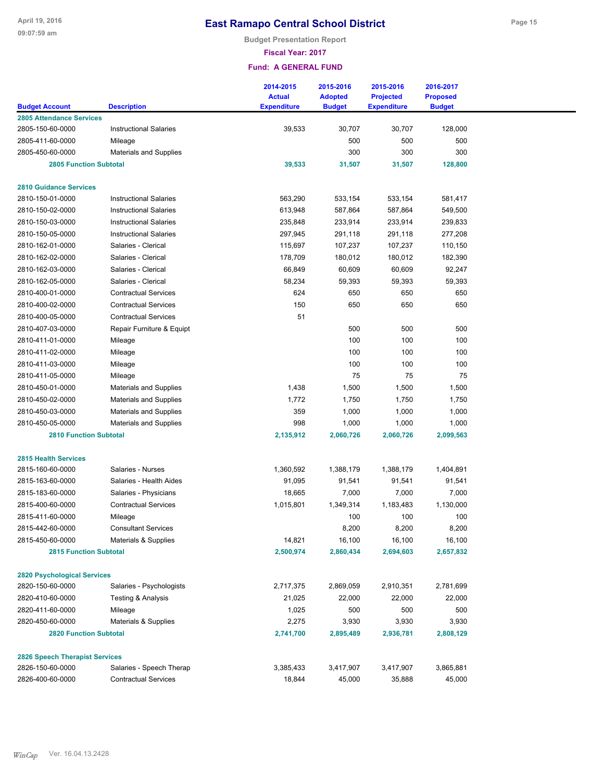**Budget Presentation Report**

**Fiscal Year: 2017**

|                                                     |                               | 2014-2015<br><b>Actual</b> | 2015-2016<br><b>Adopted</b> | 2015-2016<br><b>Projected</b> | 2016-2017<br><b>Proposed</b> |
|-----------------------------------------------------|-------------------------------|----------------------------|-----------------------------|-------------------------------|------------------------------|
| <b>Budget Account</b>                               | <b>Description</b>            | <b>Expenditure</b>         | <b>Budget</b>               | <b>Expenditure</b>            | <b>Budget</b>                |
| <b>2805 Attendance Services</b><br>2805-150-60-0000 | <b>Instructional Salaries</b> | 39,533                     | 30,707                      | 30,707                        | 128,000                      |
| 2805-411-60-0000                                    | Mileage                       |                            | 500                         | 500                           | 500                          |
| 2805-450-60-0000                                    | <b>Materials and Supplies</b> |                            | 300                         | 300                           | 300                          |
| <b>2805 Function Subtotal</b>                       |                               | 39,533                     | 31,507                      | 31,507                        | 128,800                      |
|                                                     |                               |                            |                             |                               |                              |
| <b>2810 Guidance Services</b>                       |                               |                            |                             |                               |                              |
| 2810-150-01-0000                                    | <b>Instructional Salaries</b> | 563,290                    | 533,154                     | 533,154                       | 581,417                      |
| 2810-150-02-0000                                    | <b>Instructional Salaries</b> | 613,948                    | 587,864                     | 587,864                       | 549,500                      |
| 2810-150-03-0000                                    | <b>Instructional Salaries</b> | 235,848                    | 233,914                     | 233,914                       | 239,833                      |
| 2810-150-05-0000                                    | <b>Instructional Salaries</b> | 297,945                    | 291,118                     | 291,118                       | 277,208                      |
| 2810-162-01-0000                                    | Salaries - Clerical           | 115,697                    | 107,237                     | 107,237                       | 110,150                      |
| 2810-162-02-0000                                    | Salaries - Clerical           | 178,709                    | 180,012                     | 180,012                       | 182,390                      |
| 2810-162-03-0000                                    | Salaries - Clerical           | 66,849                     | 60,609                      | 60,609                        | 92,247                       |
| 2810-162-05-0000                                    | Salaries - Clerical           | 58,234                     | 59,393                      | 59,393                        | 59,393                       |
| 2810-400-01-0000                                    | <b>Contractual Services</b>   | 624                        | 650                         | 650                           | 650                          |
| 2810-400-02-0000                                    | <b>Contractual Services</b>   | 150                        | 650                         | 650                           | 650                          |
| 2810-400-05-0000                                    | <b>Contractual Services</b>   | 51                         |                             |                               |                              |
| 2810-407-03-0000                                    | Repair Furniture & Equipt     |                            | 500                         | 500                           | 500                          |
| 2810-411-01-0000                                    | Mileage                       |                            | 100                         | 100                           | 100                          |
| 2810-411-02-0000                                    | Mileage                       |                            | 100                         | 100                           | 100                          |
| 2810-411-03-0000                                    | Mileage                       |                            | 100                         | 100                           | 100                          |
| 2810-411-05-0000                                    | Mileage                       |                            | 75                          | 75                            | 75                           |
| 2810-450-01-0000                                    | <b>Materials and Supplies</b> | 1,438                      | 1,500                       | 1,500                         | 1,500                        |
| 2810-450-02-0000                                    | <b>Materials and Supplies</b> | 1,772                      | 1,750                       | 1,750                         | 1,750                        |
| 2810-450-03-0000                                    | <b>Materials and Supplies</b> | 359                        | 1,000                       | 1,000                         | 1,000                        |
| 2810-450-05-0000                                    | <b>Materials and Supplies</b> | 998                        | 1,000                       | 1,000                         | 1,000                        |
| <b>2810 Function Subtotal</b>                       |                               | 2,135,912                  | 2,060,726                   | 2,060,726                     | 2,099,563                    |
|                                                     |                               |                            |                             |                               |                              |
| <b>2815 Health Services</b>                         |                               |                            |                             |                               |                              |
| 2815-160-60-0000                                    | Salaries - Nurses             | 1,360,592                  | 1,388,179                   | 1,388,179                     | 1,404,891                    |
| 2815-163-60-0000                                    | Salaries - Health Aides       | 91,095                     | 91,541                      | 91,541                        | 91,541                       |
| 2815-183-60-0000                                    | Salaries - Physicians         | 18,665                     | 7,000                       | 7,000                         | 7,000                        |
| 2815-400-60-0000                                    | <b>Contractual Services</b>   | 1,015,801                  | 1,349,314                   | 1,183,483                     | 1,130,000                    |
| 2815-411-60-0000                                    | Mileage                       |                            | 100                         | 100                           | 100                          |
| 2815-442-60-0000                                    | <b>Consultant Services</b>    |                            | 8,200                       | 8,200                         | 8,200                        |
| 2815-450-60-0000                                    | Materials & Supplies          | 14,821                     | 16,100                      | 16,100                        | 16,100                       |
| <b>2815 Function Subtotal</b>                       |                               | 2,500,974                  | 2,860,434                   | 2,694,603                     | 2,657,832                    |
|                                                     |                               |                            |                             |                               |                              |
| <b>2820 Psychological Services</b>                  |                               |                            |                             |                               |                              |
| 2820-150-60-0000                                    | Salaries - Psychologists      | 2,717,375                  | 2,869,059                   | 2,910,351                     | 2,781,699                    |
| 2820-410-60-0000                                    | Testing & Analysis            | 21,025                     | 22,000                      | 22,000                        | 22,000                       |
| 2820-411-60-0000                                    | Mileage                       | 1,025                      | 500                         | 500                           | 500                          |
| 2820-450-60-0000                                    | Materials & Supplies          | 2,275                      | 3,930                       | 3,930                         | 3,930                        |
| <b>2820 Function Subtotal</b>                       |                               | 2,741,700                  | 2,895,489                   | 2,936,781                     | 2,808,129                    |
| <b>2826 Speech Therapist Services</b>               |                               |                            |                             |                               |                              |
| 2826-150-60-0000                                    | Salaries - Speech Therap      | 3,385,433                  | 3,417,907                   | 3,417,907                     | 3,865,881                    |
| 2826-400-60-0000                                    | <b>Contractual Services</b>   | 18,844                     | 45,000                      | 35,888                        | 45,000                       |
|                                                     |                               |                            |                             |                               |                              |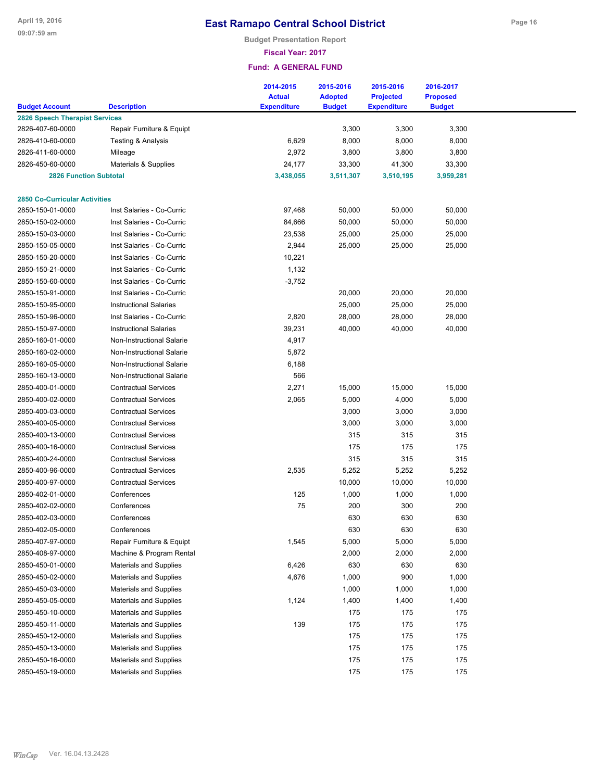**Budget Presentation Report**

**Fiscal Year: 2017**

|                                                           |                                                            | 2014-2015          | 2015-2016      | 2015-2016          | 2016-2017       |  |
|-----------------------------------------------------------|------------------------------------------------------------|--------------------|----------------|--------------------|-----------------|--|
|                                                           |                                                            | <b>Actual</b>      | <b>Adopted</b> | <b>Projected</b>   | <b>Proposed</b> |  |
| <b>Budget Account</b>                                     | <b>Description</b>                                         | <b>Expenditure</b> | <b>Budget</b>  | <b>Expenditure</b> | <b>Budget</b>   |  |
| <b>2826 Speech Therapist Services</b><br>2826-407-60-0000 | Repair Furniture & Equipt                                  |                    | 3,300          | 3,300              | 3,300           |  |
| 2826-410-60-0000                                          | Testing & Analysis                                         | 6,629              | 8,000          | 8,000              |                 |  |
| 2826-411-60-0000                                          |                                                            | 2,972              | 3,800          | 3,800              | 8,000<br>3,800  |  |
|                                                           | Mileage                                                    |                    |                |                    |                 |  |
| 2826-450-60-0000                                          | Materials & Supplies                                       | 24,177             | 33,300         | 41,300             | 33,300          |  |
| <b>2826 Function Subtotal</b>                             |                                                            | 3,438,055          | 3,511,307      | 3,510,195          | 3,959,281       |  |
| <b>2850 Co-Curricular Activities</b>                      |                                                            |                    |                |                    |                 |  |
| 2850-150-01-0000                                          | Inst Salaries - Co-Curric                                  | 97,468             | 50,000         | 50,000             | 50,000          |  |
| 2850-150-02-0000                                          | Inst Salaries - Co-Curric                                  | 84,666             | 50,000         | 50,000             | 50,000          |  |
| 2850-150-03-0000                                          | Inst Salaries - Co-Curric                                  | 23,538             | 25,000         | 25,000             | 25,000          |  |
| 2850-150-05-0000                                          | Inst Salaries - Co-Curric                                  | 2,944              | 25,000         | 25,000             | 25,000          |  |
| 2850-150-20-0000                                          | Inst Salaries - Co-Curric                                  | 10,221             |                |                    |                 |  |
| 2850-150-21-0000                                          | Inst Salaries - Co-Curric                                  | 1,132              |                |                    |                 |  |
| 2850-150-60-0000                                          | Inst Salaries - Co-Curric                                  | $-3,752$           |                |                    |                 |  |
| 2850-150-91-0000                                          | Inst Salaries - Co-Curric                                  |                    | 20,000         | 20,000             | 20,000          |  |
| 2850-150-95-0000                                          | <b>Instructional Salaries</b>                              |                    | 25,000         | 25,000             | 25,000          |  |
| 2850-150-96-0000                                          | Inst Salaries - Co-Curric                                  | 2,820              | 28,000         | 28,000             | 28,000          |  |
| 2850-150-97-0000                                          | <b>Instructional Salaries</b>                              | 39,231             | 40,000         | 40,000             | 40,000          |  |
| 2850-160-01-0000                                          | Non-Instructional Salarie                                  | 4,917              |                |                    |                 |  |
| 2850-160-02-0000                                          | Non-Instructional Salarie                                  | 5,872              |                |                    |                 |  |
| 2850-160-05-0000                                          | Non-Instructional Salarie                                  | 6,188              |                |                    |                 |  |
| 2850-160-13-0000                                          | <b>Non-Instructional Salarie</b>                           | 566                |                |                    |                 |  |
| 2850-400-01-0000                                          | <b>Contractual Services</b>                                | 2,271              | 15,000         | 15,000             | 15,000          |  |
| 2850-400-02-0000                                          | <b>Contractual Services</b>                                | 2,065              | 5,000          | 4,000              | 5,000           |  |
| 2850-400-03-0000                                          | <b>Contractual Services</b>                                |                    | 3,000          | 3,000              | 3,000           |  |
| 2850-400-05-0000                                          | <b>Contractual Services</b>                                |                    | 3,000          | 3,000              | 3,000           |  |
| 2850-400-13-0000                                          | <b>Contractual Services</b>                                |                    | 315            | 315                | 315             |  |
| 2850-400-16-0000                                          | <b>Contractual Services</b>                                |                    | 175            | 175                | 175             |  |
|                                                           | <b>Contractual Services</b>                                |                    | 315            |                    | 315             |  |
| 2850-400-24-0000                                          |                                                            |                    |                | 315                |                 |  |
| 2850-400-96-0000<br>2850-400-97-0000                      | <b>Contractual Services</b><br><b>Contractual Services</b> | 2,535              | 5,252          | 5,252              | 5,252           |  |
|                                                           |                                                            | 125                | 10,000         | 10,000             | 10,000          |  |
| 2850-402-01-0000                                          | Conferences                                                |                    | 1,000          | 1,000              | 1,000           |  |
| 2850-402-02-0000<br>2850-402-03-0000                      | Conferences<br>Conferences                                 | 75                 | 200            | 300                | 200             |  |
|                                                           |                                                            |                    | 630            | 630                | 630             |  |
| 2850-402-05-0000                                          | Conferences                                                |                    | 630            | 630                | 630             |  |
| 2850-407-97-0000                                          | Repair Furniture & Equipt                                  | 1,545              | 5,000          | 5,000              | 5,000           |  |
| 2850-408-97-0000                                          | Machine & Program Rental                                   |                    | 2,000          | 2,000              | 2,000           |  |
| 2850-450-01-0000                                          | <b>Materials and Supplies</b>                              | 6,426              | 630            | 630                | 630             |  |
| 2850-450-02-0000                                          | Materials and Supplies                                     | 4,676              | 1,000          | 900                | 1,000           |  |
| 2850-450-03-0000                                          | Materials and Supplies                                     |                    | 1,000          | 1,000              | 1,000           |  |
| 2850-450-05-0000                                          | Materials and Supplies                                     | 1,124              | 1,400          | 1,400              | 1,400           |  |
| 2850-450-10-0000                                          | Materials and Supplies                                     |                    | 175            | 175                | 175             |  |
| 2850-450-11-0000                                          | Materials and Supplies                                     | 139                | 175            | 175                | 175             |  |
| 2850-450-12-0000                                          | Materials and Supplies                                     |                    | 175            | 175                | 175             |  |
| 2850-450-13-0000                                          | Materials and Supplies                                     |                    | 175            | 175                | 175             |  |
| 2850-450-16-0000                                          | Materials and Supplies                                     |                    | 175            | 175                | 175             |  |
| 2850-450-19-0000                                          | Materials and Supplies                                     |                    | 175            | 175                | 175             |  |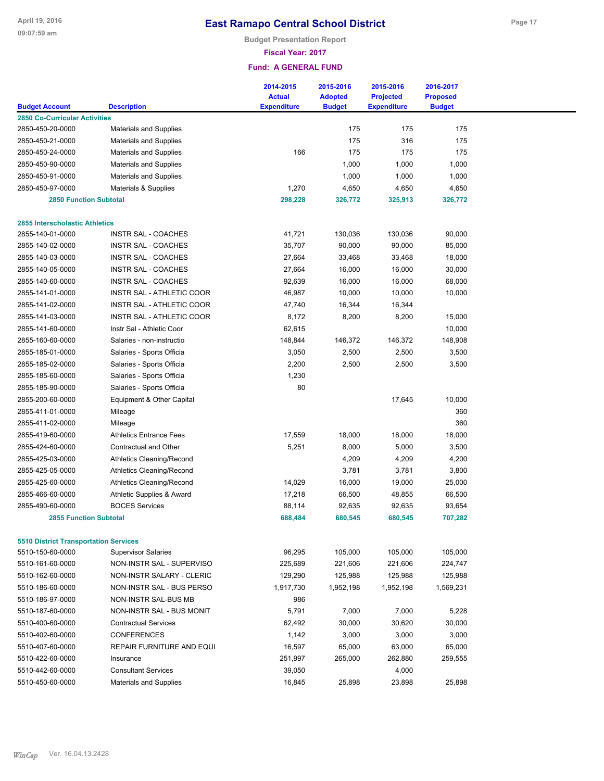**Budget Presentation Report**

**Fiscal Year: 2017**

| <b>Budget Account</b>                        | <b>Description</b>               | 2014-2015<br><b>Actual</b><br><b>Expenditure</b> | 2015-2016<br><b>Adopted</b><br><b>Budget</b> | 2015-2016<br><b>Projected</b><br><b>Expenditure</b> | 2016-2017<br><b>Proposed</b><br><b>Budget</b> |  |
|----------------------------------------------|----------------------------------|--------------------------------------------------|----------------------------------------------|-----------------------------------------------------|-----------------------------------------------|--|
| <b>2850 Co-Curricular Activities</b>         |                                  |                                                  |                                              |                                                     |                                               |  |
| 2850-450-20-0000                             | <b>Materials and Supplies</b>    |                                                  | 175                                          | 175                                                 | 175                                           |  |
| 2850-450-21-0000                             | <b>Materials and Supplies</b>    |                                                  | 175                                          | 316                                                 | 175                                           |  |
| 2850-450-24-0000                             | <b>Materials and Supplies</b>    | 166                                              | 175                                          | 175                                                 | 175                                           |  |
| 2850-450-90-0000                             | <b>Materials and Supplies</b>    |                                                  | 1,000                                        | 1,000                                               | 1,000                                         |  |
| 2850-450-91-0000                             | <b>Materials and Supplies</b>    |                                                  | 1,000                                        | 1,000                                               | 1,000                                         |  |
| 2850-450-97-0000                             | Materials & Supplies             | 1,270                                            | 4,650                                        | 4,650                                               | 4,650                                         |  |
| <b>2850 Function Subtotal</b>                |                                  | 298,228                                          | 326,772                                      | 325,913                                             | 326,772                                       |  |
|                                              |                                  |                                                  |                                              |                                                     |                                               |  |
| 2855 Interscholastic Athletics               |                                  |                                                  |                                              |                                                     |                                               |  |
| 2855-140-01-0000                             | <b>INSTR SAL - COACHES</b>       | 41,721                                           | 130,036                                      | 130,036                                             | 90,000                                        |  |
| 2855-140-02-0000                             | INSTR SAL - COACHES              | 35,707                                           | 90,000                                       | 90,000                                              | 85,000                                        |  |
| 2855-140-03-0000                             | INSTR SAL - COACHES              | 27,664                                           | 33,468                                       | 33,468                                              | 18,000                                        |  |
| 2855-140-05-0000                             | INSTR SAL - COACHES              | 27,664                                           | 16,000                                       | 16,000                                              | 30,000                                        |  |
| 2855-140-60-0000                             | INSTR SAL - COACHES              | 92,639                                           | 16,000                                       | 16,000                                              | 68,000                                        |  |
| 2855-141-01-0000                             | INSTR SAL - ATHLETIC COOR        | 46,987                                           | 10,000                                       | 10,000                                              | 10,000                                        |  |
| 2855-141-02-0000                             | <b>INSTR SAL - ATHLETIC COOR</b> | 47,740                                           | 16,344                                       | 16,344                                              |                                               |  |
| 2855-141-03-0000                             | INSTR SAL - ATHLETIC COOR        | 8,172                                            | 8,200                                        | 8,200                                               | 15,000                                        |  |
| 2855-141-60-0000                             | Instr Sal - Athletic Coor        | 62,615                                           |                                              |                                                     | 10,000                                        |  |
| 2855-160-60-0000                             | Salaries - non-instructio        | 148,844                                          | 146,372                                      | 146,372                                             | 148,908                                       |  |
| 2855-185-01-0000                             | Salaries - Sports Officia        | 3,050                                            | 2,500                                        | 2,500                                               | 3,500                                         |  |
| 2855-185-02-0000                             | Salaries - Sports Officia        | 2,200                                            | 2,500                                        | 2,500                                               | 3,500                                         |  |
| 2855-185-60-0000                             | Salaries - Sports Officia        | 1,230                                            |                                              |                                                     |                                               |  |
| 2855-185-90-0000                             | Salaries - Sports Officia        | 80                                               |                                              |                                                     |                                               |  |
| 2855-200-60-0000                             | Equipment & Other Capital        |                                                  |                                              | 17,645                                              | 10,000                                        |  |
| 2855-411-01-0000                             | Mileage                          |                                                  |                                              |                                                     | 360                                           |  |
| 2855-411-02-0000                             | Mileage                          |                                                  |                                              |                                                     | 360                                           |  |
| 2855-419-60-0000                             | <b>Athletics Entrance Fees</b>   | 17,559                                           | 18,000                                       | 18,000                                              | 18,000                                        |  |
| 2855-424-60-0000                             | Contractual and Other            | 5,251                                            | 8,000                                        | 5,000                                               | 3,500                                         |  |
| 2855-425-03-0000                             | <b>Athletics Cleaning/Recond</b> |                                                  | 4,209                                        | 4,209                                               | 4,200                                         |  |
| 2855-425-05-0000                             | <b>Athletics Cleaning/Recond</b> |                                                  | 3,781                                        | 3,781                                               | 3,800                                         |  |
| 2855-425-60-0000                             | <b>Athletics Cleaning/Recond</b> | 14,029                                           | 16,000                                       | 19,000                                              | 25,000                                        |  |
| 2855-466-60-0000                             | Athletic Supplies & Award        | 17,218                                           | 66,500                                       | 48,855                                              | 66,500                                        |  |
| 2855-490-60-0000                             | <b>BOCES Services</b>            | 88,114                                           | 92,635                                       | 92,635                                              | 93,654                                        |  |
| <b>2855 Function Subtotal</b>                |                                  | 688,484                                          | 680,545                                      | 680,545                                             | 707,282                                       |  |
|                                              |                                  |                                                  |                                              |                                                     |                                               |  |
| <b>5510 District Transportation Services</b> |                                  |                                                  |                                              |                                                     |                                               |  |
| 5510-150-60-0000                             | <b>Supervisor Salaries</b>       | 96,295                                           | 105,000                                      | 105,000                                             | 105,000                                       |  |
| 5510-161-60-0000                             | NON-INSTR SAL - SUPERVISO        | 225,689                                          | 221,606                                      | 221,606                                             | 224,747                                       |  |
| 5510-162-60-0000                             | NON-INSTR SALARY - CLERIC        | 129,290                                          | 125,988                                      | 125,988                                             | 125,988                                       |  |
| 5510-186-60-0000                             | NON-INSTR SAL - BUS PERSO        | 1,917,730                                        | 1,952,198                                    | 1,952,198                                           | 1,569,231                                     |  |
| 5510-186-97-0000                             | NON-INSTR SAL-BUS MB             | 986                                              |                                              |                                                     |                                               |  |
| 5510-187-60-0000                             | NON-INSTR SAL - BUS MONIT        | 5,791                                            | 7,000                                        | 7,000                                               | 5,228                                         |  |
| 5510-400-60-0000                             | <b>Contractual Services</b>      | 62,492                                           | 30,000                                       | 30,620                                              | 30,000                                        |  |
| 5510-402-60-0000                             | <b>CONFERENCES</b>               | 1,142                                            | 3,000                                        | 3,000                                               | 3,000                                         |  |
| 5510-407-60-0000                             | REPAIR FURNITURE AND EQUI        | 16,597                                           | 65,000                                       | 63,000                                              | 65,000                                        |  |
| 5510-422-60-0000                             | Insurance                        | 251,997                                          | 265,000                                      | 262,880                                             | 259,555                                       |  |
| 5510-442-60-0000                             | <b>Consultant Services</b>       | 39,050                                           |                                              | 4,000                                               |                                               |  |
| 5510-450-60-0000                             | <b>Materials and Supplies</b>    | 16,845                                           | 25,898                                       | 23,898                                              | 25,898                                        |  |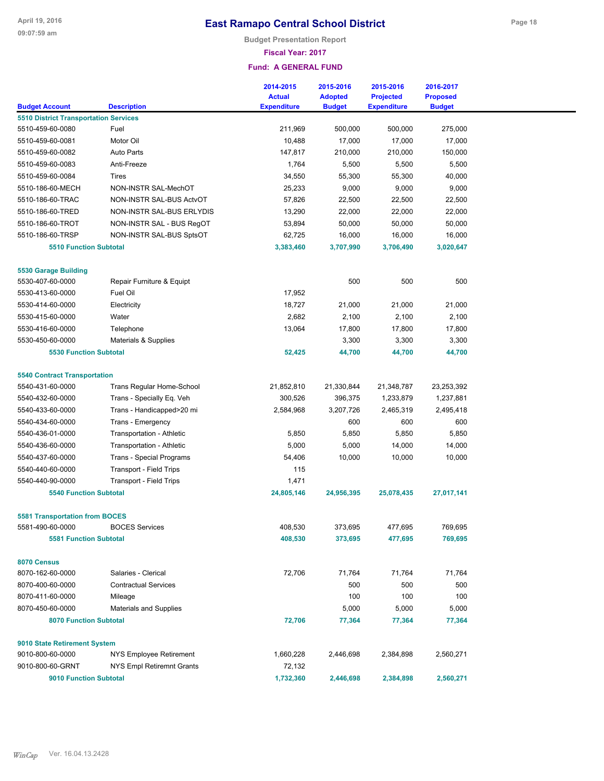**Budget Presentation Report**

#### **Fiscal Year: 2017**

|                                                                  |                                  | 2014-2015          | 2015-2016      | 2015-2016          | 2016-2017       |  |
|------------------------------------------------------------------|----------------------------------|--------------------|----------------|--------------------|-----------------|--|
|                                                                  |                                  | <b>Actual</b>      | <b>Adopted</b> | <b>Projected</b>   | <b>Proposed</b> |  |
| <b>Budget Account</b>                                            | <b>Description</b>               | <b>Expenditure</b> | <b>Budget</b>  | <b>Expenditure</b> | <b>Budget</b>   |  |
| <b>5510 District Transportation Services</b><br>5510-459-60-0080 | Fuel                             | 211,969            | 500,000        | 500,000            | 275,000         |  |
| 5510-459-60-0081                                                 | Motor Oil                        | 10,488             | 17,000         | 17,000             | 17,000          |  |
| 5510-459-60-0082                                                 | <b>Auto Parts</b>                | 147,817            | 210,000        | 210,000            | 150,000         |  |
| 5510-459-60-0083                                                 | Anti-Freeze                      | 1,764              | 5,500          | 5,500              | 5,500           |  |
| 5510-459-60-0084                                                 | Tires                            | 34,550             | 55,300         | 55,300             | 40,000          |  |
| 5510-186-60-MECH                                                 | NON-INSTR SAL-MechOT             | 25,233             | 9,000          | 9,000              | 9,000           |  |
| 5510-186-60-TRAC                                                 | NON-INSTR SAL-BUS ActvOT         | 57,826             | 22,500         | 22,500             | 22,500          |  |
| 5510-186-60-TRED                                                 | NON-INSTR SAL-BUS ERLYDIS        | 13,290             | 22,000         | 22,000             | 22,000          |  |
| 5510-186-60-TROT                                                 | NON-INSTR SAL - BUS RegOT        | 53,894             | 50,000         | 50,000             | 50,000          |  |
| 5510-186-60-TRSP                                                 | NON-INSTR SAL-BUS SptsOT         | 62,725             | 16,000         | 16,000             | 16,000          |  |
| <b>5510 Function Subtotal</b>                                    |                                  | 3,383,460          | 3,707,990      | 3,706,490          | 3,020,647       |  |
|                                                                  |                                  |                    |                |                    |                 |  |
| <b>5530 Garage Building</b>                                      |                                  |                    |                |                    |                 |  |
| 5530-407-60-0000                                                 | Repair Furniture & Equipt        |                    | 500            | 500                | 500             |  |
| 5530-413-60-0000                                                 | Fuel Oil                         | 17,952             |                |                    |                 |  |
| 5530-414-60-0000                                                 | Electricity                      | 18,727             | 21,000         | 21,000             | 21,000          |  |
| 5530-415-60-0000                                                 | Water                            | 2,682              | 2,100          | 2,100              | 2,100           |  |
| 5530-416-60-0000                                                 | Telephone                        | 13,064             | 17,800         | 17,800             | 17,800          |  |
| 5530-450-60-0000                                                 | Materials & Supplies             |                    | 3,300          | 3,300              | 3,300           |  |
| <b>5530 Function Subtotal</b>                                    |                                  | 52,425             | 44,700         | 44,700             | 44,700          |  |
|                                                                  |                                  |                    |                |                    |                 |  |
| <b>5540 Contract Transportation</b>                              |                                  |                    |                |                    |                 |  |
| 5540-431-60-0000                                                 | <b>Trans Regular Home-School</b> | 21,852,810         | 21,330,844     | 21,348,787         | 23,253,392      |  |
| 5540-432-60-0000                                                 | Trans - Specially Eq. Veh        | 300,526            | 396,375        | 1,233,879          | 1,237,881       |  |
| 5540-433-60-0000                                                 | Trans - Handicapped>20 mi        | 2,584,968          | 3,207,726      | 2,465,319          | 2,495,418       |  |
| 5540-434-60-0000                                                 | Trans - Emergency                |                    | 600            | 600                | 600             |  |
| 5540-436-01-0000                                                 | Transportation - Athletic        | 5,850              | 5,850          | 5,850              | 5,850           |  |
| 5540-436-60-0000                                                 | Transportation - Athletic        | 5,000              | 5,000          | 14,000             | 14,000          |  |
| 5540-437-60-0000                                                 | <b>Trans - Special Programs</b>  | 54,406             | 10,000         | 10,000             | 10,000          |  |
| 5540-440-60-0000                                                 | <b>Transport - Field Trips</b>   | 115                |                |                    |                 |  |
| 5540-440-90-0000                                                 | <b>Transport - Field Trips</b>   | 1,471              |                |                    |                 |  |
| <b>5540 Function Subtotal</b>                                    |                                  | 24,805,146         | 24,956,395     | 25,078,435         | 27,017,141      |  |
|                                                                  |                                  |                    |                |                    |                 |  |
| <b>5581 Transportation from BOCES</b>                            |                                  |                    |                |                    |                 |  |
| 5581-490-60-0000                                                 | <b>BOCES Services</b>            | 408,530            | 373,695        | 477,695            | 769,695         |  |
| <b>5581 Function Subtotal</b>                                    |                                  | 408,530            | 373,695        | 477,695            | 769,695         |  |
|                                                                  |                                  |                    |                |                    |                 |  |
| 8070 Census<br>8070-162-60-0000                                  | Salaries - Clerical              | 72,706             | 71,764         | 71,764             | 71,764          |  |
| 8070-400-60-0000                                                 | <b>Contractual Services</b>      |                    | 500            | 500                | 500             |  |
| 8070-411-60-0000                                                 | Mileage                          |                    | 100            | 100                | 100             |  |
| 8070-450-60-0000                                                 | Materials and Supplies           |                    | 5,000          | 5,000              | 5,000           |  |
| <b>8070 Function Subtotal</b>                                    |                                  | 72,706             | 77,364         | 77,364             | 77,364          |  |
|                                                                  |                                  |                    |                |                    |                 |  |
| 9010 State Retirement System                                     |                                  |                    |                |                    |                 |  |
| 9010-800-60-0000                                                 | NYS Employee Retirement          | 1,660,228          | 2,446,698      | 2,384,898          | 2,560,271       |  |
|                                                                  |                                  |                    |                |                    |                 |  |
| 9010-800-60-GRNT                                                 | NYS Empl Retiremnt Grants        | 72,132             |                |                    |                 |  |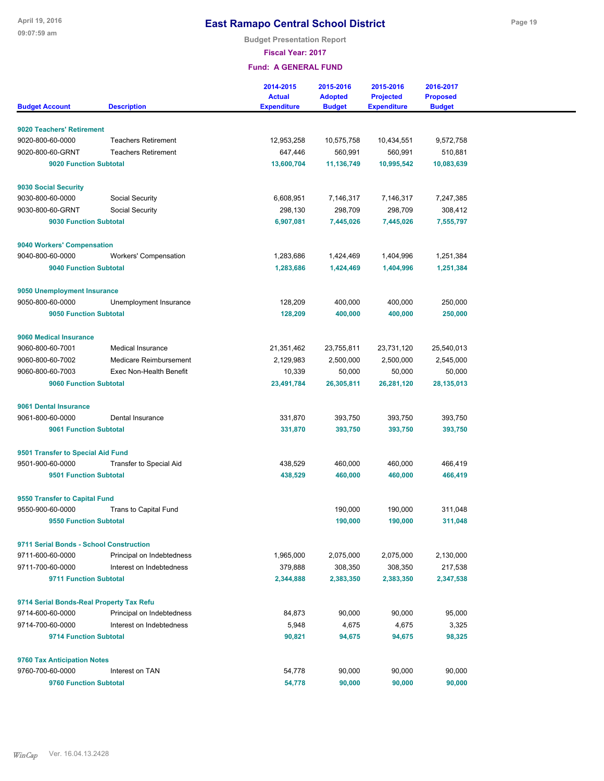**Budget Presentation Report**

**Fiscal Year: 2017**

| <b>Budget Account</b>                                        | <b>Description</b>             | 2014-2015<br><b>Actual</b><br><b>Expenditure</b> | 2015-2016<br><b>Adopted</b><br><b>Budget</b> | 2015-2016<br><b>Projected</b><br><b>Expenditure</b> | 2016-2017<br><b>Proposed</b><br><b>Budget</b> |
|--------------------------------------------------------------|--------------------------------|--------------------------------------------------|----------------------------------------------|-----------------------------------------------------|-----------------------------------------------|
|                                                              |                                |                                                  |                                              |                                                     |                                               |
| 9020 Teachers' Retirement                                    |                                |                                                  |                                              |                                                     |                                               |
| 9020-800-60-0000                                             | <b>Teachers Retirement</b>     | 12,953,258                                       | 10,575,758                                   | 10,434,551                                          | 9,572,758                                     |
| 9020-800-60-GRNT                                             | <b>Teachers Retirement</b>     | 647,446                                          | 560,991                                      | 560,991                                             | 510,881                                       |
| 9020 Function Subtotal                                       |                                | 13,600,704                                       | 11,136,749                                   | 10,995,542                                          | 10,083,639                                    |
|                                                              |                                |                                                  |                                              |                                                     |                                               |
| 9030 Social Security                                         |                                |                                                  |                                              |                                                     |                                               |
| 9030-800-60-0000                                             | Social Security                | 6,608,951                                        | 7,146,317                                    | 7,146,317                                           | 7,247,385                                     |
| 9030-800-60-GRNT                                             | Social Security                | 298,130                                          | 298,709                                      | 298,709                                             | 308,412                                       |
| 9030 Function Subtotal                                       |                                | 6,907,081                                        | 7,445,026                                    | 7,445,026                                           | 7,555,797                                     |
|                                                              |                                |                                                  |                                              |                                                     |                                               |
| 9040 Workers' Compensation<br>9040-800-60-0000               | <b>Workers' Compensation</b>   | 1,283,686                                        | 1,424,469                                    | 1,404,996                                           | 1,251,384                                     |
| <b>9040 Function Subtotal</b>                                |                                | 1,283,686                                        | 1,424,469                                    | 1,404,996                                           | 1,251,384                                     |
|                                                              |                                |                                                  |                                              |                                                     |                                               |
| 9050 Unemployment Insurance                                  |                                |                                                  |                                              |                                                     |                                               |
| 9050-800-60-0000                                             | Unemployment Insurance         | 128,209                                          | 400,000                                      | 400,000                                             | 250,000                                       |
| 9050 Function Subtotal                                       |                                | 128,209                                          | 400,000                                      | 400,000                                             | 250,000                                       |
|                                                              |                                |                                                  |                                              |                                                     |                                               |
| 9060 Medical Insurance                                       |                                |                                                  |                                              |                                                     |                                               |
| 9060-800-60-7001                                             | Medical Insurance              | 21,351,462                                       | 23,755,811                                   | 23,731,120                                          | 25,540,013                                    |
| 9060-800-60-7002                                             | Medicare Reimbursement         | 2,129,983                                        | 2,500,000                                    | 2,500,000                                           | 2,545,000                                     |
| 9060-800-60-7003                                             | Exec Non-Health Benefit        | 10,339                                           | 50,000                                       | 50,000                                              | 50,000                                        |
| 9060 Function Subtotal                                       |                                | 23,491,784                                       | 26,305,811                                   | 26,281,120                                          | 28,135,013                                    |
| 9061 Dental Insurance                                        |                                |                                                  |                                              |                                                     |                                               |
| 9061-800-60-0000                                             | Dental Insurance               | 331,870                                          | 393,750                                      | 393,750                                             | 393,750                                       |
| 9061 Function Subtotal                                       |                                | 331,870                                          | 393,750                                      | 393,750                                             | 393,750                                       |
|                                                              |                                |                                                  |                                              |                                                     |                                               |
| 9501 Transfer to Special Aid Fund                            |                                |                                                  |                                              |                                                     |                                               |
| 9501-900-60-0000                                             | <b>Transfer to Special Aid</b> | 438,529                                          | 460,000                                      | 460,000                                             | 466,419                                       |
| 9501 Function Subtotal                                       |                                | 438,529                                          | 460,000                                      | 460,000                                             | 466,419                                       |
| 9550 Transfer to Capital Fund                                |                                |                                                  |                                              |                                                     |                                               |
| 9550-900-60-0000                                             | Trans to Capital Fund          |                                                  | 190,000                                      | 190,000                                             | 311,048                                       |
| 9550 Function Subtotal                                       |                                |                                                  | 190,000                                      | 190,000                                             | 311,048                                       |
|                                                              |                                |                                                  |                                              |                                                     |                                               |
| 9711 Serial Bonds - School Construction                      |                                |                                                  |                                              |                                                     |                                               |
| 9711-600-60-0000                                             | Principal on Indebtedness      | 1,965,000                                        | 2,075,000                                    | 2,075,000                                           | 2,130,000                                     |
| 9711-700-60-0000                                             | Interest on Indebtedness       | 379,888                                          | 308,350                                      | 308,350                                             | 217,538                                       |
| 9711 Function Subtotal                                       |                                | 2,344,888                                        | 2,383,350                                    | 2,383,350                                           | 2,347,538                                     |
|                                                              |                                |                                                  |                                              |                                                     |                                               |
| 9714 Serial Bonds-Real Property Tax Refu<br>9714-600-60-0000 | Principal on Indebtedness      | 84,873                                           | 90,000                                       | 90,000                                              | 95,000                                        |
| 9714-700-60-0000                                             | Interest on Indebtedness       | 5,948                                            | 4,675                                        | 4,675                                               | 3,325                                         |
| 9714 Function Subtotal                                       |                                | 90,821                                           | 94,675                                       | 94,675                                              | 98,325                                        |
|                                                              |                                |                                                  |                                              |                                                     |                                               |
| 9760 Tax Anticipation Notes                                  |                                |                                                  |                                              |                                                     |                                               |
| 9760-700-60-0000                                             | Interest on TAN                | 54,778                                           | 90,000                                       | 90,000                                              | 90,000                                        |
| 9760 Function Subtotal                                       |                                | 54,778                                           | 90,000                                       | 90,000                                              | 90,000                                        |